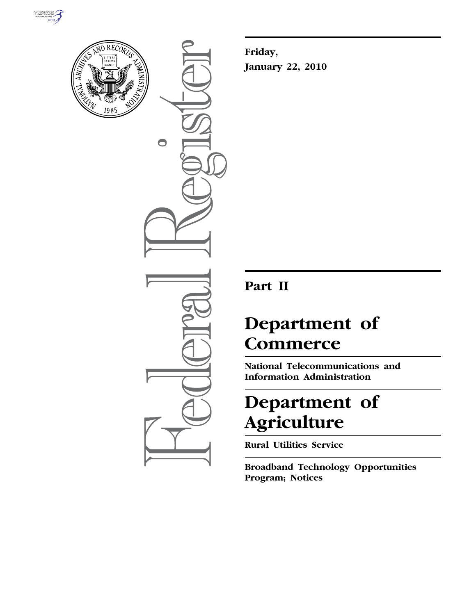



 $\bullet$ 

**Friday, January 22, 2010** 

# **Part II**

# **Department of Commerce**

**National Telecommunications and Information Administration** 

# **Department of Agriculture**

**Rural Utilities Service** 

**Broadband Technology Opportunities Program; Notices**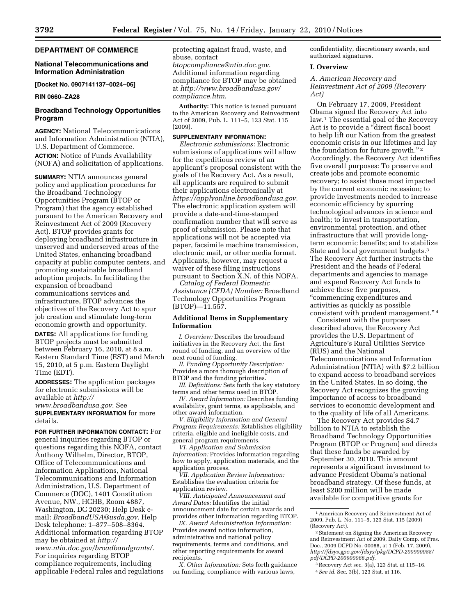# **DEPARTMENT OF COMMERCE**

#### **National Telecommunications and Information Administration**

**[Docket No. 0907141137–0024–06]** 

#### **RIN 0660–ZA28**

# **Broadband Technology Opportunities Program**

**AGENCY:** National Telecommunications and Information Administration (NTIA), U.S. Department of Commerce. **ACTION:** Notice of Funds Availability (NOFA) and solicitation of applications.

**SUMMARY:** NTIA announces general policy and application procedures for the Broadband Technology Opportunities Program (BTOP or Program) that the agency established pursuant to the American Recovery and Reinvestment Act of 2009 (Recovery Act). BTOP provides grants for deploying broadband infrastructure in unserved and underserved areas of the United States, enhancing broadband capacity at public computer centers, and promoting sustainable broadband adoption projects. In facilitating the expansion of broadband communications services and infrastructure, BTOP advances the objectives of the Recovery Act to spur job creation and stimulate long-term economic growth and opportunity.

**DATES:** All applications for funding BTOP projects must be submitted between February 16, 2010, at 8 a.m. Eastern Standard Time (EST) and March 15, 2010, at 5 p.m. Eastern Daylight Time (EDT).

**ADDRESSES:** The application packages for electronic submissions will be available at *http:// www.broadbandusa.gov*. See **SUPPLEMENTARY INFORMATION** for more

details. **FOR FURTHER INFORMATION CONTACT:** For general inquiries regarding BTOP or questions regarding this NOFA, contact Anthony Wilhelm, Director, BTOP, Office of Telecommunications and Information Applications, National Telecommunications and Information Administration, U.S. Department of

Commerce (DOC), 1401 Constitution Avenue, NW., HCHB, Room 4887, Washington, DC 20230; Help Desk email: *BroadbandUSA@usda.gov*, Help Desk telephone: 1–877–508–8364. Additional information regarding BTOP may be obtained at *http:// www.ntia.doc.gov/broadbandgrants/*. For inquiries regarding BTOP compliance requirements, including applicable Federal rules and regulations protecting against fraud, waste, and abuse, contact

*btopcompliance@ntia.doc.gov*. Additional information regarding compliance for BTOP may be obtained at *http://www.broadbandusa.gov/ compliance.htm*.

**Authority:** This notice is issued pursuant to the American Recovery and Reinvestment Act of 2009, Pub. L. 111–5, 123 Stat. 115 (2009).

#### **SUPPLEMENTARY INFORMATION:**

*Electronic submissions:* Electronic submissions of applications will allow for the expeditious review of an applicant's proposal consistent with the goals of the Recovery Act. As a result, all applicants are required to submit their applications electronically at *https://applyonline.broadbandusa.gov*. The electronic application system will provide a date-and-time-stamped confirmation number that will serve as proof of submission. Please note that applications will not be accepted via paper, facsimile machine transmission, electronic mail, or other media format. Applicants, however, may request a waiver of these filing instructions pursuant to Section X.N. of this NOFA. *Catalog of Federal Domestic* 

*Assistance (CFDA) Number:* Broadband Technology Opportunities Program (BTOP)—11.557.

# **Additional Items in Supplementary Information**

*I. Overview:* Describes the broadband initiatives in the Recovery Act, the first round of funding, and an overview of the next round of funding.

*II. Funding Opportunity Description:*  Provides a more thorough description of BTOP and the funding priorities.

*III. Definitions:* Sets forth the key statutory terms and other terms used in BTOP.

*IV. Award Information:* Describes funding availability, grant terms, as applicable, and other award information.

*V. Eligibility Information and General Program Requirements:* Establishes eligibility criteria, eligible and ineligible costs, and general program requirements.

*VI. Application and Submission Information:* Provides information regarding how to apply, application materials, and the application process.

*VII. Application Review Information:*  Establishes the evaluation criteria for application review.

*VIII. Anticipated Announcement and Award Dates:* Identifies the initial announcement date for certain awards and provides other information regarding BTOP.

*IX. Award Administration Information:*  Provides award notice information, administrative and national policy requirements, terms and conditions, and other reporting requirements for award recipients.

*X. Other Information:* Sets forth guidance on funding, compliance with various laws,

confidentiality, discretionary awards, and authorized signatures.

# **I. Overview**

# *A. American Recovery and Reinvestment Act of 2009 (Recovery Act)*

On February 17, 2009, President Obama signed the Recovery Act into law.1 The essential goal of the Recovery Act is to provide a ''direct fiscal boost to help lift our Nation from the greatest economic crisis in our lifetimes and lay the foundation for future growth."<sup>2</sup> Accordingly, the Recovery Act identifies five overall purposes: To preserve and create jobs and promote economic recovery; to assist those most impacted by the current economic recession; to provide investments needed to increase economic efficiency by spurring technological advances in science and health; to invest in transportation, environmental protection, and other infrastructure that will provide longterm economic benefits; and to stabilize State and local government budgets.3 The Recovery Act further instructs the President and the heads of Federal departments and agencies to manage and expend Recovery Act funds to achieve these five purposes, ''commencing expenditures and activities as quickly as possible consistent with prudent management."<sup>4</sup>

Consistent with the purposes described above, the Recovery Act provides the U.S. Department of Agriculture's Rural Utilities Service (RUS) and the National Telecommunications and Information Administration (NTIA) with \$7.2 billion to expand access to broadband services in the United States. In so doing, the Recovery Act recognizes the growing importance of access to broadband services to economic development and to the quality of life of all Americans.

The Recovery Act provides \$4.7 billion to NTIA to establish the Broadband Technology Opportunities Program (BTOP or Program) and directs that these funds be awarded by September 30, 2010. This amount represents a significant investment to advance President Obama's national broadband strategy. Of these funds, at least \$200 million will be made available for competitive grants for

<sup>1</sup>American Recovery and Reinvestment Act of 2009, Pub. L. No. 111–5, 123 Stat. 115 (2009) (Recovery Act).

<sup>2</sup>Statement on Signing the American Recovery and Reinvestment Act of 2009, Daily Comp. of Pres. Doc., 2009 DCPD No. 00088, at 1 (Feb. 17, 2009), *http://fdsys.gpo.gov/fdsys/pkg/DCPD-200900088/ pdf/DCPD-200900088.pdf*.

<sup>3</sup>Recovery Act sec. 3(a), 123 Stat. at 115–16. 4*See id.* Sec. 3(b), 123 Stat. at 116.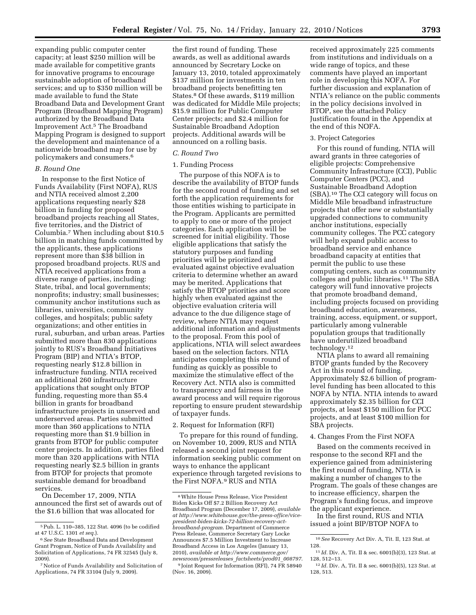expanding public computer center capacity; at least \$250 million will be made available for competitive grants for innovative programs to encourage sustainable adoption of broadband services; and up to \$350 million will be made available to fund the State Broadband Data and Development Grant Program (Broadband Mapping Program) authorized by the Broadband Data Improvement Act.5 The Broadband Mapping Program is designed to support the development and maintenance of a nationwide broadband map for use by policymakers and consumers.6

#### *B. Round One*

In response to the first Notice of Funds Availability (First NOFA), RUS and NTIA received almost 2,200 applications requesting nearly \$28 billion in funding for proposed broadband projects reaching all States, five territories, and the District of Columbia.7 When including about \$10.5 billion in matching funds committed by the applicants, these applications represent more than \$38 billion in proposed broadband projects. RUS and NTIA received applications from a diverse range of parties, including: State, tribal, and local governments; nonprofits; industry; small businesses; community anchor institutions such as libraries, universities, community colleges, and hospitals; public safety organizations; and other entities in rural, suburban, and urban areas. Parties submitted more than 830 applications jointly to RUS's Broadband Initiatives Program (BIP) and NTIA's BTOP, requesting nearly \$12.8 billion in infrastructure funding. NTIA received an additional 260 infrastructure applications that sought only BTOP funding, requesting more than \$5.4 billion in grants for broadband infrastructure projects in unserved and underserved areas. Parties submitted more than 360 applications to NTIA requesting more than \$1.9 billion in grants from BTOP for public computer center projects. In addition, parties filed more than 320 applications with NTIA requesting nearly \$2.5 billion in grants from BTOP for projects that promote sustainable demand for broadband services.

On December 17, 2009, NTIA announced the first set of awards out of the \$1.6 billion that was allocated for

the first round of funding. These awards, as well as additional awards announced by Secretary Locke on January 13, 2010, totaled approximately \$137 million for investments in ten broadband projects benefitting ten States.8 Of these awards, \$119 million was dedicated for Middle Mile projects; \$15.9 million for Public Computer Center projects; and \$2.4 million for Sustainable Broadband Adoption projects. Additional awards will be announced on a rolling basis.

#### *C. Round Two*

# 1. Funding Process

The purpose of this NOFA is to describe the availability of BTOP funds for the second round of funding and set forth the application requirements for those entities wishing to participate in the Program. Applicants are permitted to apply to one or more of the project categories. Each application will be screened for initial eligibility. Those eligible applications that satisfy the statutory purposes and funding priorities will be prioritized and evaluated against objective evaluation criteria to determine whether an award may be merited. Applications that satisfy the BTOP priorities and score highly when evaluated against the objective evaluation criteria will advance to the due diligence stage of review, where NTIA may request additional information and adjustments to the proposal. From this pool of applications, NTIA will select awardees based on the selection factors. NTIA anticipates completing this round of funding as quickly as possible to maximize the stimulative effect of the Recovery Act. NTIA also is committed to transparency and fairness in the award process and will require rigorous reporting to ensure prudent stewardship of taxpayer funds.

#### 2. Request for Information (RFI)

To prepare for this round of funding, on November 10, 2009, RUS and NTIA released a second joint request for information seeking public comment on ways to enhance the applicant experience through targeted revisions to the First NOFA.9 RUS and NTIA

received approximately 225 comments from institutions and individuals on a wide range of topics, and these comments have played an important role in developing this NOFA. For further discussion and explanation of NTIA's reliance on the public comments in the policy decisions involved in BTOP, see the attached Policy Justification found in the Appendix at the end of this NOFA.

#### 3. Project Categories

For this round of funding, NTIA will award grants in three categories of eligible projects: Comprehensive Community Infrastructure (CCI), Public Computer Centers (PCC), and Sustainable Broadband Adoption (SBA).10 The CCI category will focus on Middle Mile broadband infrastructure projects that offer new or substantially upgraded connections to community anchor institutions, especially community colleges. The PCC category will help expand public access to broadband service and enhance broadband capacity at entities that permit the public to use these computing centers, such as community colleges and public libraries.11 The SBA category will fund innovative projects that promote broadband demand, including projects focused on providing broadband education, awareness, training, access, equipment, or support, particularly among vulnerable population groups that traditionally have underutilized broadband technology.12

NTIA plans to award all remaining BTOP grants funded by the Recovery Act in this round of funding. Approximately \$2.6 billion of programlevel funding has been allocated to this NOFA by NTIA. NTIA intends to award approximately \$2.35 billion for CCI projects, at least \$150 million for PCC projects, and at least \$100 million for SBA projects.

# 4. Changes From the First NOFA

Based on the comments received in response to the second RFI and the experience gained from administering the first round of funding, NTIA is making a number of changes to the Program. The goals of these changes are to increase efficiency, sharpen the Program's funding focus, and improve the applicant experience.

In the first round, RUS and NTIA issued a joint BIP/BTOP NOFA to

<sup>5</sup>Pub. L. 110–385, 122 Stat. 4096 (to be codified at 47 U.S.C. 1301 *et seq.*).

<sup>6</sup>*See* State Broadband Data and Development Grant Program, Notice of Funds Availability and Solicitation of Applications, 74 FR 32545 (July 8, 2009).

<sup>7</sup>Notice of Funds Availability and Solicitation of Applications, 74 FR 33104 (July 9, 2009).

<sup>8</sup>White House Press Release, Vice President Biden Kicks Off \$7.2 Billion Recovery Act Broadband Program (December 17, 2009), *available at http://www.whitehouse.gov/the-press-office/vicepresident-biden-kicks-72-billion-recovery-actbroadband-program*. Department of Commerce Press Release, Commerce Secretary Gary Locke Announces \$7.5 Million Investment to Increase Broadband Access in Los Angeles (January 13, 2010), *available at http://www.commerce.gov/ newsroom/pressreleases*\_*factsheets/prod01*\_*008797*. 9 Joint Request for Information (RFI), 74 FR 58940 (Nov. 16, 2009).

<sup>10</sup>*See* Recovery Act Div. A, Tit. II, 123 Stat. at 128.

<sup>11</sup> *Id.* Div. A, Tit. II & sec. 6001(b)(3), 123 Stat. at 128, 512–13.

<sup>12</sup> *Id.* Div. A, Tit. II & sec. 6001(b)(5), 123 Stat. at 128, 513.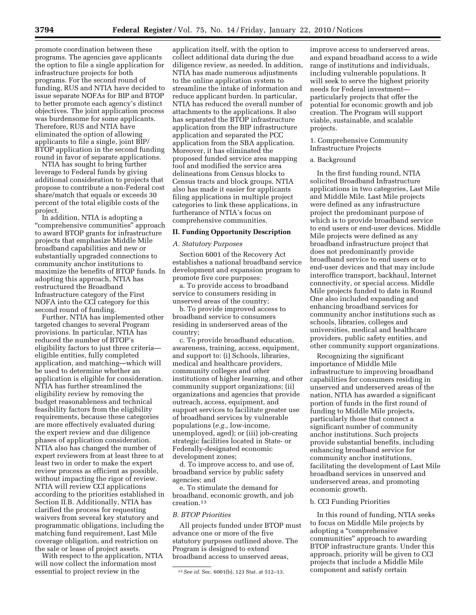promote coordination between these programs. The agencies gave applicants the option to file a single application for infrastructure projects for both programs. For the second round of funding, RUS and NTIA have decided to issue separate NOFAs for BIP and BTOP to better promote each agency's distinct objectives. The joint application process was burdensome for some applicants. Therefore, RUS and NTIA have eliminated the option of allowing applicants to file a single, joint BIP/ BTOP application in the second funding round in favor of separate applications.

NTIA has sought to bring further leverage to Federal funds by giving additional consideration to projects that propose to contribute a non-Federal cost share/match that equals or exceeds 30 percent of the total eligible costs of the project.

In addition, NTIA is adopting a ''comprehensive communities'' approach to award BTOP grants for infrastructure projects that emphasize Middle Mile broadband capabilities and new or substantially upgraded connections to community anchor institutions to maximize the benefits of BTOP funds. In adopting this approach, NTIA has restructured the Broadband Infrastructure category of the First NOFA into the CCI category for this second round of funding.

Further, NTIA has implemented other targeted changes to several Program provisions. In particular, NTIA has reduced the number of BTOP's eligibility factors to just three criteria eligible entities, fully completed application, and matching—which will be used to determine whether an application is eligible for consideration. NTIA has further streamlined the eligibility review by removing the budget reasonableness and technical feasibility factors from the eligibility requirements, because these categories are more effectively evaluated during the expert review and due diligence phases of application consideration. NTIA also has changed the number of expert reviewers from at least three to at least two in order to make the expert review process as efficient as possible, without impacting the rigor of review. NTIA will review CCI applications according to the priorities established in Section II.B. Additionally, NTIA has clarified the process for requesting waivers from several key statutory and programmatic obligations, including the matching fund requirement, Last Mile coverage obligation, and restriction on the sale or lease of project assets.

With respect to the application, NTIA will now collect the information most essential to project review in the

application itself, with the option to collect additional data during the due diligence review, as needed. In addition, NTIA has made numerous adjustments to the online application system to streamline the intake of information and reduce applicant burden. In particular, NTIA has reduced the overall number of attachments to the applications. It also has separated the BTOP infrastructure application from the BIP infrastructure application and separated the PCC application from the SBA application. Moreover, it has eliminated the proposed funded service area mapping tool and modified the service area delineations from Census blocks to Census tracts and block groups. NTIA also has made it easier for applicants filing applications in multiple project categories to link these applications, in furtherance of NTIA's focus on comprehensive communities.

#### **II. Funding Opportunity Description**

# *A. Statutory Purposes*

Section 6001 of the Recovery Act establishes a national broadband service development and expansion program to promote five core purposes:

a. To provide access to broadband service to consumers residing in unserved areas of the country;

b. To provide improved access to broadband service to consumers residing in underserved areas of the country;

c. To provide broadband education, awareness, training, access, equipment, and support to: (i) Schools, libraries, medical and healthcare providers, community colleges and other institutions of higher learning, and other community support organizations; (ii) organizations and agencies that provide outreach, access, equipment, and support services to facilitate greater use of broadband services by vulnerable populations (*e.g.,* low-income, unemployed, aged); or (iii) job-creating strategic facilities located in State- or Federally-designated economic development zones;

d. To improve access to, and use of, broadband service by public safety agencies; and

e. To stimulate the demand for broadband, economic growth, and job creation.13

# *B. BTOP Priorities*

All projects funded under BTOP must advance one or more of the five statutory purposes outlined above. The Program is designed to extend broadband access to unserved areas,

improve access to underserved areas, and expand broadband access to a wide range of institutions and individuals, including vulnerable populations. It will seek to serve the highest priority needs for Federal investment particularly projects that offer the potential for economic growth and job creation. The Program will support viable, sustainable, and scalable projects.

# 1. Comprehensive Community Infrastructure Projects

# a. Background

In the first funding round, NTIA solicited Broadband Infrastructure applications in two categories, Last Mile and Middle Mile. Last Mile projects were defined as any infrastructure project the predominant purpose of which is to provide broadband service to end users or end-user devices. Middle Mile projects were defined as any broadband infrastructure project that does not predominantly provide broadband service to end users or to end-user devices and that may include interoffice transport, backhaul, Internet connectivity, or special access. Middle Mile projects funded to date in Round One also included expanding and enhancing broadband services for community anchor institutions such as schools, libraries, colleges and universities, medical and healthcare providers, public safety entities, and other community support organizations.

Recognizing the significant importance of Middle Mile infrastructure to improving broadband capabilities for consumers residing in unserved and underserved areas of the nation, NTIA has awarded a significant portion of funds in the first round of funding to Middle Mile projects, particularly those that connect a significant number of community anchor institutions. Such projects provide substantial benefits, including enhancing broadband service for community anchor institutions, facilitating the development of Last Mile broadband services in unserved and underserved areas, and promoting economic growth.

#### b. CCI Funding Priorities

In this round of funding, NTIA seeks to focus on Middle Mile projects by adopting a ''comprehensive communities'' approach to awarding BTOP infrastructure grants. Under this approach, priority will be given to CCI projects that include a Middle Mile component and satisfy certain

<sup>13</sup>*See id.* Sec. 6001(b), 123 Stat. at 512–13.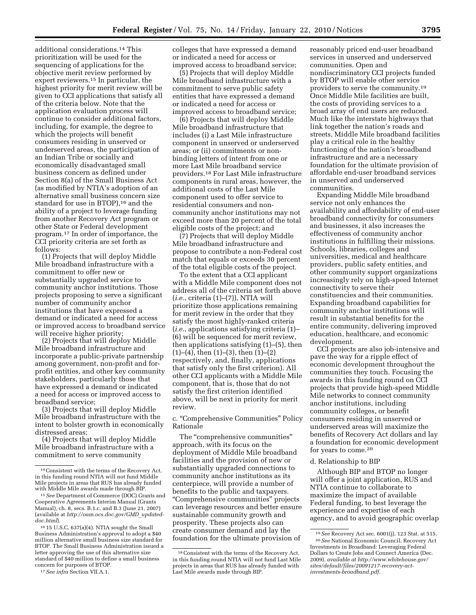additional considerations.14 This prioritization will be used for the sequencing of applications for the objective merit review performed by expert reviewers.15 In particular, the highest priority for merit review will be given to CCI applications that satisfy all of the criteria below. Note that the application evaluation process will continue to consider additional factors, including, for example, the degree to which the projects will benefit consumers residing in unserved or underserved areas, the participation of an Indian Tribe or socially and economically disadvantaged small business concern as defined under Section 8(a) of the Small Business Act (as modified by NTIA's adoption of an alternative small business concern size standard for use in BTOP),<sup>16</sup> and the ability of a project to leverage funding from another Recovery Act program or other State or Federal development program.17 In order of importance, the CCI priority criteria are set forth as follows:

(1) Projects that will deploy Middle Mile broadband infrastructure with a commitment to offer new or substantially upgraded service to community anchor institutions. Those projects proposing to serve a significant number of community anchor institutions that have expressed a demand or indicated a need for access or improved access to broadband service will receive higher priority;

(2) Projects that will deploy Middle Mile broadband infrastructure and incorporate a public-private partnership among government, non-profit and forprofit entities, and other key community stakeholders, particularly those that have expressed a demand or indicated a need for access or improved access to broadband service;

(3) Projects that will deploy Middle Mile broadband infrastructure with the intent to bolster growth in economically distressed areas;

(4) Projects that will deploy Middle Mile broadband infrastructure with a commitment to serve community

colleges that have expressed a demand or indicated a need for access or improved access to broadband service;

(5) Projects that will deploy Middle Mile broadband infrastructure with a commitment to serve public safety entities that have expressed a demand or indicated a need for access or improved access to broadband service;

(6) Projects that will deploy Middle Mile broadband infrastructure that includes (i) a Last Mile infrastructure component in unserved or underserved areas; or (ii) commitments or nonbinding letters of intent from one or more Last Mile broadband service providers.18 For Last Mile infrastructure components in rural areas, however, the additional costs of the Last Mile component used to offer service to residential consumers and noncommunity anchor institutions may not exceed more than 20 percent of the total eligible costs of the project; and

(7) Projects that will deploy Middle Mile broadband infrastructure and propose to contribute a non-Federal cost match that equals or exceeds 30 percent of the total eligible costs of the project.

To the extent that a CCI applicant with a Middle Mile component does not address all of the criteria set forth above (*i.e.*, criteria (1)–(7)), NTIA will prioritize those applications remaining for merit review in the order that they satisfy the most highly-ranked criteria (*i.e.*, applications satisfying criteria (1)– (6) will be sequenced for merit review, then applications satisfying (1)–(5), then (1)–(4), then (1)–(3), then (1)–(2) respectively, and, finally, applications that satisfy only the first criterion). All other CCI applicants with a Middle Mile component, that is, those that do not satisfy the first criterion identified above, will be next in priority for merit review.

c. ''Comprehensive Communities'' Policy Rationale

The "comprehensive communities" approach, with its focus on the deployment of Middle Mile broadband facilities and the provision of new or substantially upgraded connections to community anchor institutions as its centerpiece, will provide a number of benefits to the public and taxpayers. ''Comprehensive communities'' projects can leverage resources and better ensure sustainable community growth and prosperity. These projects also can create consumer demand and lay the foundation for the ultimate provision of

reasonably priced end-user broadband services in unserved and underserved communities. Open and nondiscriminatory CCI projects funded by BTOP will enable other service providers to serve the community.19 Once Middle Mile facilities are built, the costs of providing services to a broad array of end users are reduced. Much like the interstate highways that link together the nation's roads and streets, Middle Mile broadband facilities play a critical role in the healthy functioning of the nation's broadband infrastructure and are a necessary foundation for the ultimate provision of affordable end-user broadband services in unserved and underserved communities.

Expanding Middle Mile broadband service not only enhances the availability and affordability of end-user broadband connectivity for consumers and businesses, it also increases the effectiveness of community anchor institutions in fulfilling their missions. Schools, libraries, colleges and universities, medical and healthcare providers, public safety entities, and other community support organizations increasingly rely on high-speed Internet connectivity to serve their constituencies and their communities. Expanding broadband capabilities for community anchor institutions will result in substantial benefits for the entire community, delivering improved education, healthcare, and economic development.

CCI projects are also job-intensive and pave the way for a ripple effect of economic development throughout the communities they touch. Focusing the awards in this funding round on CCI projects that provide high-speed Middle Mile networks to connect community anchor institutions, including community colleges, or benefit consumers residing in unserved or underserved areas will maximize the benefits of Recovery Act dollars and lay a foundation for economic development for years to come.20

#### d. Relationship to BIP

Although BIP and BTOP no longer will offer a joint application, RUS and NTIA continue to collaborate to maximize the impact of available Federal funding, to best leverage the experience and expertise of each agency, and to avoid geographic overlap

<sup>14</sup>Consistent with the terms of the Recovery Act, in this funding round NTIA will not fund Middle Mile projects in areas that RUS has already funded with Middle Mile awards made through BIP.

<sup>15</sup>*See* Department of Commerce (DOC) Grants and Cooperative Agreements Interim Manual (Grants Manual), ch. 8, secs. B.1.c. and B.3 (June 21, 2007) (available at *http://oam.ocs.doc.gov/GMD*\_*updateddoc.html*).

<sup>16</sup> 15 U.S.C. 637(a)(4). NTIA sought the Small Business Administration's approval to adopt a \$40 million alternative small business size standard for BTOP. The Small Business Administration issued a letter approving the use of this alternative size standard of \$40 million to define a small business concern for purposes of BTOP.

<sup>17</sup>*See infra* Section VII.A.1.

<sup>18</sup>Consistent with the terms of the Recovery Act, in this funding round NTIA will not fund Last Mile projects in areas that RUS has already funded with Last Mile awards made through BIP.

<sup>19</sup>*See* Recovery Act sec. 6001(j), 123 Stat. at 515. 20*See* National Economic Council, Recovery Act Investments in Broadband: Leveraging Federal Dollars to Create Jobs and Connect America (Dec. 2009), *available at http://www.whitehouse.gov/ sites/default/files/20091217-recovery-actinvestments-broadband.pdf*.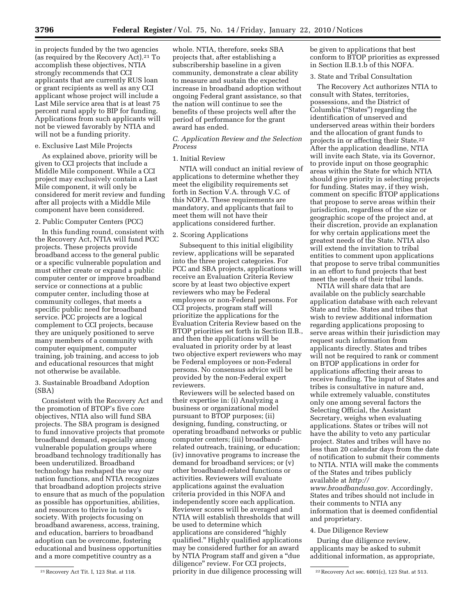in projects funded by the two agencies (as required by the Recovery Act).21 To accomplish these objectives, NTIA strongly recommends that CCI applicants that are currently RUS loan or grant recipients as well as any CCI applicant whose project will include a Last Mile service area that is at least 75 percent rural apply to BIP for funding. Applications from such applicants will not be viewed favorably by NTIA and will not be a funding priority.

#### e. Exclusive Last Mile Projects

As explained above, priority will be given to CCI projects that include a Middle Mile component. While a CCI project may exclusively contain a Last Mile component, it will only be considered for merit review and funding after all projects with a Middle Mile component have been considered.

#### 2. Public Computer Centers (PCC)

In this funding round, consistent with the Recovery Act, NTIA will fund PCC projects. These projects provide broadband access to the general public or a specific vulnerable population and must either create or expand a public computer center or improve broadband service or connections at a public computer center, including those at community colleges, that meets a specific public need for broadband service. PCC projects are a logical complement to CCI projects, because they are uniquely positioned to serve many members of a community with computer equipment, computer training, job training, and access to job and educational resources that might not otherwise be available.

# 3. Sustainable Broadband Adoption (SBA)

Consistent with the Recovery Act and the promotion of BTOP's five core objectives, NTIA also will fund SBA projects. The SBA program is designed to fund innovative projects that promote broadband demand, especially among vulnerable population groups where broadband technology traditionally has been underutilized. Broadband technology has reshaped the way our nation functions, and NTIA recognizes that broadband adoption projects strive to ensure that as much of the population as possible has opportunities, abilities, and resources to thrive in today's society. With projects focusing on broadband awareness, access, training, and education, barriers to broadband adoption can be overcome, fostering educational and business opportunities and a more competitive country as a

whole. NTIA, therefore, seeks SBA projects that, after establishing a subscribership baseline in a given community, demonstrate a clear ability to measure and sustain the expected increase in broadband adoption without ongoing Federal grant assistance, so that the nation will continue to see the benefits of these projects well after the period of performance for the grant award has ended.

# *C. Application Review and the Selection Process*

# 1. Initial Review

NTIA will conduct an initial review of applications to determine whether they meet the eligibility requirements set forth in Section V.A. through V.C. of this NOFA. These requirements are mandatory, and applicants that fail to meet them will not have their applications considered further.

#### 2. Scoring Applications

Subsequent to this initial eligibility review, applications will be separated into the three project categories. For PCC and SBA projects, applications will receive an Evaluation Criteria Review score by at least two objective expert reviewers who may be Federal employees or non-Federal persons. For CCI projects, program staff will prioritize the applications for the Evaluation Criteria Review based on the BTOP priorities set forth in Section II.B., and then the applications will be evaluated in priority order by at least two objective expert reviewers who may be Federal employees or non-Federal persons. No consensus advice will be provided by the non-Federal expert reviewers.

<sup>21</sup> Recovery Act Tit. I, 123 Stat. at 118. **22** Priority in due diligence processing will <sup>22</sup> Recovery Act sec. 6001(c), 123 Stat. at 513. Reviewers will be selected based on their expertise in: (i) Analyzing a business or organizational model pursuant to BTOP purposes; (ii) designing, funding, constructing, or operating broadband networks or public computer centers; (iii) broadbandrelated outreach, training, or education; (iv) innovative programs to increase the demand for broadband services; or (v) other broadband-related functions or activities. Reviewers will evaluate applications against the evaluation criteria provided in this NOFA and independently score each application. Reviewer scores will be averaged and NTIA will establish thresholds that will be used to determine which applications are considered ''highly qualified.'' Highly qualified applications may be considered further for an award by NTIA Program staff and given a ''due diligence'' review. For CCI projects,

be given to applications that best conform to BTOP priorities as expressed in Section II.B.1.b of this NOFA.

# 3. State and Tribal Consultation

The Recovery Act authorizes NTIA to consult with States, territories, possessions, and the District of Columbia (''States'') regarding the identification of unserved and underserved areas within their borders and the allocation of grant funds to projects in or affecting their State.22 After the application deadline, NTIA will invite each State, via its Governor, to provide input on those geographic areas within the State for which NTIA should give priority in selecting projects for funding. States may, if they wish, comment on specific BTOP applications that propose to serve areas within their jurisdiction, regardless of the size or geographic scope of the project and, at their discretion, provide an explanation for why certain applications meet the greatest needs of the State. NTIA also will extend the invitation to tribal entities to comment upon applications that propose to serve tribal communities in an effort to fund projects that best meet the needs of their tribal lands.

NTIA will share data that are available on the publicly searchable application database with each relevant State and tribe. States and tribes that wish to review additional information regarding applications proposing to serve areas within their jurisdiction may request such information from applicants directly. States and tribes will not be required to rank or comment on BTOP applications in order for applications affecting their areas to receive funding. The input of States and tribes is consultative in nature and, while extremely valuable, constitutes only one among several factors the Selecting Official, the Assistant Secretary, weighs when evaluating applications. States or tribes will not have the ability to veto any particular project. States and tribes will have no less than 20 calendar days from the date of notification to submit their comments to NTIA. NTIA will make the comments of the States and tribes publicly available at *http:// www.broadbandusa.gov.* Accordingly, States and tribes should not include in their comments to NTIA any information that is deemed confidential and proprietary.

#### 4. Due Diligence Review

During due diligence review, applicants may be asked to submit additional information, as appropriate,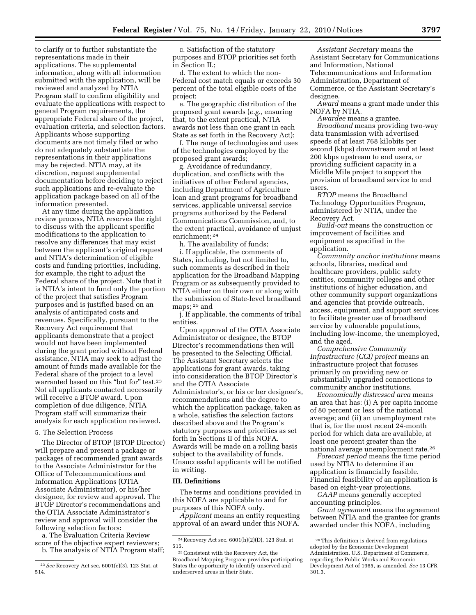to clarify or to further substantiate the representations made in their applications. The supplemental information, along with all information submitted with the application, will be reviewed and analyzed by NTIA Program staff to confirm eligibility and evaluate the applications with respect to general Program requirements, the appropriate Federal share of the project, evaluation criteria, and selection factors. Applicants whose supporting documents are not timely filed or who do not adequately substantiate the representations in their applications may be rejected. NTIA may, at its discretion, request supplemental documentation before deciding to reject such applications and re-evaluate the application package based on all of the information presented.

At any time during the application review process, NTIA reserves the right to discuss with the applicant specific modifications to the application to resolve any differences that may exist between the applicant's original request and NTIA's determination of eligible costs and funding priorities, including, for example, the right to adjust the Federal share of the project. Note that it is NTIA's intent to fund only the portion of the project that satisfies Program purposes and is justified based on an analysis of anticipated costs and revenues. Specifically, pursuant to the Recovery Act requirement that applicants demonstrate that a project would not have been implemented during the grant period without Federal assistance, NTIA may seek to adjust the amount of funds made available for the Federal share of the project to a level warranted based on this "but for" test.<sup>23</sup> Not all applicants contacted necessarily will receive a BTOP award. Upon completion of due diligence, NTIA Program staff will summarize their analysis for each application reviewed.

#### 5. The Selection Process

The Director of BTOP (BTOP Director) will prepare and present a package or packages of recommended grant awards to the Associate Administrator for the Office of Telecommunications and Information Applications (OTIA Associate Administrator), or his/her designee, for review and approval. The BTOP Director's recommendations and the OTIA Associate Administrator's review and approval will consider the following selection factors:

a. The Evaluation Criteria Review score of the objective expert reviewers; b. The analysis of NTIA Program staff;

c. Satisfaction of the statutory purposes and BTOP priorities set forth in Section II.;

d. The extent to which the non-Federal cost match equals or exceeds 30 percent of the total eligible costs of the project;

e. The geographic distribution of the proposed grant awards (*e.g.,* ensuring that, to the extent practical, NTIA awards not less than one grant in each State as set forth in the Recovery Act);

f. The range of technologies and uses of the technologies employed by the proposed grant awards;

g. Avoidance of redundancy, duplication, and conflicts with the initiatives of other Federal agencies, including Department of Agriculture loan and grant programs for broadband services, applicable universal service programs authorized by the Federal Communications Commission, and, to the extent practical, avoidance of unjust enrichment; 24

h. The availability of funds; i. If applicable, the comments of States, including, but not limited to, such comments as described in their application for the Broadband Mapping Program or as subsequently provided to NTIA either on their own or along with the submission of State-level broadband maps; 25 and

j. If applicable, the comments of tribal entities.

Upon approval of the OTIA Associate Administrator or designee, the BTOP Director's recommendations then will be presented to the Selecting Official. The Assistant Secretary selects the applications for grant awards, taking into consideration the BTOP Director's and the OTIA Associate Administrator's, or his or her designee's, recommendations and the degree to which the application package, taken as a whole, satisfies the selection factors described above and the Program's statutory purposes and priorities as set forth in Sections II of this NOFA. Awards will be made on a rolling basis subject to the availability of funds. Unsuccessful applicants will be notified in writing.

#### **III. Definitions**

The terms and conditions provided in this NOFA are applicable to and for purposes of this NOFA only.

*Applicant* means an entity requesting approval of an award under this NOFA.

*Assistant Secretary* means the Assistant Secretary for Communications and Information, National Telecommunications and Information Administration, Department of Commerce, or the Assistant Secretary's designee.

*Award* means a grant made under this NOFA by NTIA.

*Awardee* means a grantee. *Broadband* means providing two-way data transmission with advertised speeds of at least 768 kilobits per second (kbps) downstream and at least 200 kbps upstream to end users, or providing sufficient capacity in a Middle Mile project to support the provision of broadband service to end users.

*BTOP* means the Broadband Technology Opportunities Program, administered by NTIA, under the Recovery Act.

*Build-out* means the construction or improvement of facilities and equipment as specified in the application.

*Community anchor institutions* means schools, libraries, medical and healthcare providers, public safety entities, community colleges and other institutions of higher education, and other community support organizations and agencies that provide outreach, access, equipment, and support services to facilitate greater use of broadband service by vulnerable populations, including low-income, the unemployed, and the aged.

*Comprehensive Community Infrastructure (CCI) project* means an infrastructure project that focuses primarily on providing new or substantially upgraded connections to community anchor institutions.

*Economically distressed area* means an area that has: (i) A per capita income of 80 percent or less of the national average; and (ii) an unemployment rate that is, for the most recent 24-month period for which data are available, at least one percent greater than the national average unemployment rate.26

*Forecast period* means the time period used by NTIA to determine if an application is financially feasible. Financial feasibility of an application is based on eight-year projections.

*GAAP* means generally accepted accounting principles.

*Grant agreement* means the agreement between NTIA and the grantee for grants awarded under this NOFA, including

<sup>23</sup>*See* Recovery Act sec. 6001(e)(3), 123 Stat. at 514.

 $^{24}\rm\,Recovery$  Act sec.  $6001(h)(2)(D),$  123 Stat. at 515.

<sup>25</sup>Consistent with the Recovery Act, the Broadband Mapping Program provides participating States the opportunity to identify unserved and underserved areas in their State.

<sup>26</sup>This definition is derived from regulations adopted by the Economic Development Administration, U.S. Department of Commerce, regarding the Public Works and Economic Development Act of 1965, as amended. *See* 13 CFR 301.3.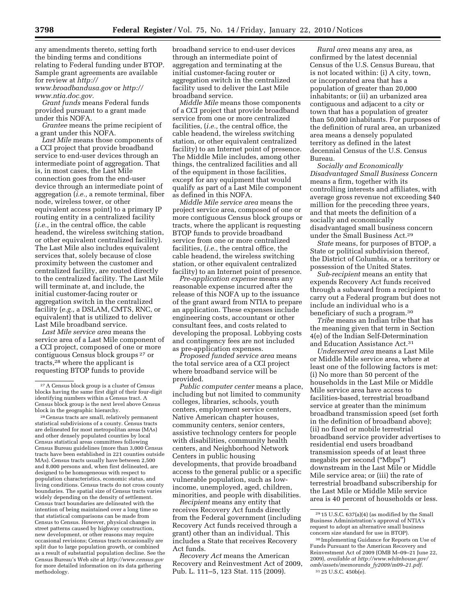any amendments thereto, setting forth the binding terms and conditions relating to Federal funding under BTOP. Sample grant agreements are available for review at *http://* 

*www.broadbandusa.gov* or *http:// www.ntia.doc.gov.* 

*Grant funds* means Federal funds provided pursuant to a grant made under this NOFA.

*Grantee* means the prime recipient of a grant under this NOFA.

*Last Mile* means those components of a CCI project that provide broadband service to end-user devices through an intermediate point of aggregation. That is, in most cases, the Last Mile connection goes from the end-user device through an intermediate point of aggregation (*i.e.,* a remote terminal, fiber node, wireless tower, or other equivalent access point) to a primary IP routing entity in a centralized facility (*i.e.,* in the central office, the cable headend, the wireless switching station, or other equivalent centralized facility). The Last Mile also includes equivalent services that, solely because of close proximity between the customer and centralized facility, are routed directly to the centralized facility. The Last Mile will terminate at, and include, the initial customer-facing router or aggregation switch in the centralized facility (*e.g.,* a DSLAM, CMTS, RNC, or equivalent) that is utilized to deliver Last Mile broadband service.

*Last Mile service area* means the service area of a Last Mile component of a CCI project, composed of one or more contiguous Census block groups 27 or tracts,28 where the applicant is requesting BTOP funds to provide

28Census tracts are small, relatively permanent statistical subdivisions of a county. Census tracts are delineated for most metropolitan areas (MAs) and other densely populated counties by local Census statistical areas committees following Census Bureau guidelines (more than 3,000 Census tracts have been established in 221 counties outside MAs). Census tracts usually have between 2,500 and 8,000 persons and, when first delineated, are designed to be homogeneous with respect to population characteristics, economic status, and living conditions. Census tracts do not cross county boundaries. The spatial size of Census tracts varies widely depending on the density of settlement. Census tract boundaries are delineated with the intention of being maintained over a long time so that statistical comparisons can be made from Census to Census. However, physical changes in street patterns caused by highway construction, new development, or other reasons may require occasional revisions; Census tracts occasionally are split due to large population growth, or combined as a result of substantial population decline. See the Census Bureau's Web site at *http://www.census.gov*  for more detailed information on its data gathering methodology.

broadband service to end-user devices through an intermediate point of aggregation and terminating at the initial customer-facing router or aggregation switch in the centralized facility used to deliver the Last Mile broadband service.

*Middle Mile* means those components of a CCI project that provide broadband service from one or more centralized facilities, (*i.e.,* the central office, the cable headend, the wireless switching station, or other equivalent centralized facility) to an Internet point of presence. The Middle Mile includes, among other things, the centralized facilities and all of the equipment in those facilities, except for any equipment that would qualify as part of a Last Mile component as defined in this NOFA.

*Middle Mile service area* means the project service area, composed of one or more contiguous Census block groups or tracts, where the applicant is requesting BTOP funds to provide broadband service from one or more centralized facilities, (*i.e.,* the central office, the cable headend, the wireless switching station, or other equivalent centralized facility) to an Internet point of presence.

*Pre-application expense* means any reasonable expense incurred after the release of this NOFA up to the issuance of the grant award from NTIA to prepare an application. These expenses include engineering costs, accountant or other consultant fees, and costs related to developing the proposal. Lobbying costs and contingency fees are not included as pre-application expenses.

*Proposed funded service area* means the total service area of a CCI project where broadband service will be provided.

*Public computer center* means a place, including but not limited to community colleges, libraries, schools, youth centers, employment service centers, Native American chapter houses, community centers, senior centers, assistive technology centers for people with disabilities, community health centers, and Neighborhood Network Centers in public housing developments, that provide broadband access to the general public or a specific vulnerable population, such as lowincome, unemployed, aged, children, minorities, and people with disabilities.

*Recipient* means any entity that receives Recovery Act funds directly from the Federal government (including Recovery Act funds received through a grant) other than an individual. This includes a State that receives Recovery Act funds.

*Recovery Act* means the American Recovery and Reinvestment Act of 2009, Pub. L. 111–5, 123 Stat. 115 (2009).

*Rural area* means any area, as confirmed by the latest decennial Census of the U.S. Census Bureau, that is not located within: (i) A city, town, or incorporated area that has a population of greater than 20,000 inhabitants; or (ii) an urbanized area contiguous and adjacent to a city or town that has a population of greater than 50,000 inhabitants. For purposes of the definition of rural area, an urbanized area means a densely populated territory as defined in the latest decennial Census of the U.S. Census Bureau.

*Socially and Economically Disadvantaged Small Business Concern*  means a firm, together with its controlling interests and affiliates, with average gross revenue not exceeding \$40 million for the preceding three years, and that meets the definition of a socially and economically disadvantaged small business concern under the Small Business Act.29

*State* means, for purposes of BTOP, a State or political subdivision thereof, the District of Columbia, or a territory or possession of the United States.

*Sub-recipient* means an entity that expends Recovery Act funds received through a subaward from a recipient to carry out a Federal program but does not include an individual who is a beneficiary of such a program.30

*Tribe* means an Indian tribe that has the meaning given that term in Section 4(e) of the Indian Self-Determination and Education Assistance Act.31

*Underserved area* means a Last Mile or Middle Mile service area, where at least one of the following factors is met: (i) No more than 50 percent of the households in the Last Mile or Middle Mile service area have access to facilities-based, terrestrial broadband service at greater than the minimum broadband transmission speed (set forth in the definition of broadband above); (ii) no fixed or mobile terrestrial broadband service provider advertises to residential end users broadband transmission speeds of at least three megabits per second (''Mbps'') downstream in the Last Mile or Middle Mile service area; or (iii) the rate of terrestrial broadband subscribership for the Last Mile or Middle Mile service area is 40 percent of households or less.

<sup>27</sup>A Census block group is a cluster of Census blocks having the same first digit of their four-digit identifying numbers within a Census tract. A Census block group is the next level above Census block in the geographic hierarchy.

<sup>29</sup> 15 U.S.C. 637(a)(4) (as modified by the Small Business Administration's approval of NTIA's request to adopt an alternative small business concern size standard for use in BTOP).

<sup>30</sup> Implementing Guidance for Reports on Use of Funds Pursuant to the American Recovery and Reinvestment Act of 2009 (OMB M–09–21 June 22, 2009), *available at http://www.whitehouse.gov/ omb/assets/memoranda*\_*fy2009/m09–21.pdf.*  31 25 U.S.C. 450b(e).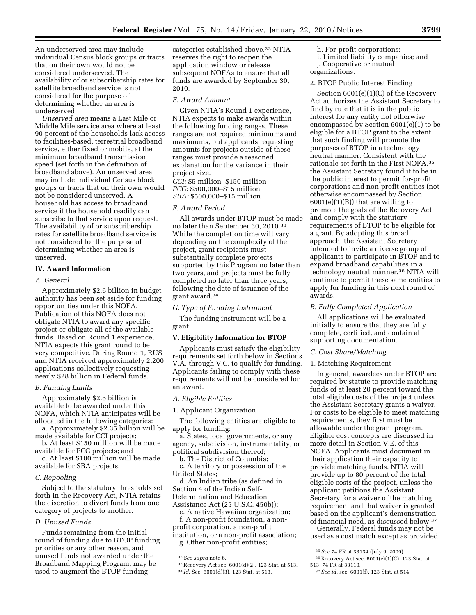An underserved area may include individual Census block groups or tracts that on their own would not be considered underserved. The availability of or subscribership rates for satellite broadband service is not considered for the purpose of determining whether an area is underserved.

*Unserved area* means a Last Mile or Middle Mile service area where at least 90 percent of the households lack access to facilities-based, terrestrial broadband service, either fixed or mobile, at the minimum broadband transmission speed (set forth in the definition of broadband above). An unserved area may include individual Census block groups or tracts that on their own would not be considered unserved. A household has access to broadband service if the household readily can subscribe to that service upon request. The availability of or subscribership rates for satellite broadband service is not considered for the purpose of determining whether an area is unserved.

# **IV. Award Information**

#### *A. General*

Approximately \$2.6 billion in budget authority has been set aside for funding opportunities under this NOFA. Publication of this NOFA does not obligate NTIA to award any specific project or obligate all of the available funds. Based on Round 1 experience, NTIA expects this grant round to be very competitive. During Round 1, RUS and NTIA received approximately 2,200 applications collectively requesting nearly \$28 billion in Federal funds.

#### *B. Funding Limits*

Approximately \$2.6 billion is available to be awarded under this NOFA, which NTIA anticipates will be allocated in the following categories:

a. Approximately \$2.35 billion will be made available for CCI projects;

b. At least \$150 million will be made available for PCC projects; and

c. At least \$100 million will be made available for SBA projects.

# *C. Repooling*

Subject to the statutory thresholds set forth in the Recovery Act, NTIA retains the discretion to divert funds from one category of projects to another.

# *D. Unused Funds*

Funds remaining from the initial round of funding due to BTOP funding priorities or any other reason, and unused funds not awarded under the Broadband Mapping Program, may be used to augment the BTOP funding

categories established above.<sup>32</sup> NTIA reserves the right to reopen the application window or release subsequent NOFAs to ensure that all funds are awarded by September 30, 2010.

#### *E. Award Amount*

Given NTIA's Round 1 experience, NTIA expects to make awards within the following funding ranges. These ranges are not required minimums and maximums, but applicants requesting amounts for projects outside of these ranges must provide a reasoned explanation for the variance in their project size.

*CCI:* \$5 million–\$150 million *PCC:* \$500,000–\$15 million *SBA:* \$500,000–\$15 million

# *F. Award Period*

All awards under BTOP must be made no later than September 30, 2010.33 While the completion time will vary depending on the complexity of the project, grant recipients must substantially complete projects supported by this Program no later than two years, and projects must be fully completed no later than three years, following the date of issuance of the grant award.34

#### *G. Type of Funding Instrument*

The funding instrument will be a grant.

# **V. Eligibility Information for BTOP**

Applicants must satisfy the eligibility requirements set forth below in Sections V.A. through V.C. to qualify for funding. Applicants failing to comply with these requirements will not be considered for an award.

#### *A. Eligible Entities*

#### 1. Applicant Organization

The following entities are eligible to apply for funding:

a. States, local governments, or any agency, subdivision, instrumentality, or political subdivision thereof;

b. The District of Columbia; c. A territory or possession of the United States;

d. An Indian tribe (as defined in Section 4 of the Indian Self-Determination and Education Assistance Act (25 U.S.C. 450b));

e. A native Hawaiian organization;

f. A non-profit foundation, a nonprofit corporation, a non-profit institution, or a non-profit association; g. Other non-profit entities;

33Recovery Act sec. 6001(d)(2), 123 Stat. at 513.

h. For-profit corporations; i. Limited liability companies; and j. Cooperative or mutual

organizations.

#### 2. BTOP Public Interest Finding

Section 6001(e)(1)(C) of the Recovery Act authorizes the Assistant Secretary to find by rule that it is in the public interest for any entity not otherwise encompassed by Section 6001(e)(1) to be eligible for a BTOP grant to the extent that such finding will promote the purposes of BTOP in a technology neutral manner. Consistent with the rationale set forth in the First NOFA,35 the Assistant Secretary found it to be in the public interest to permit for-profit corporations and non-profit entities (not otherwise encompassed by Section  $6001(e)(1)(B)$  that are willing to promote the goals of the Recovery Act and comply with the statutory requirements of BTOP to be eligible for a grant. By adopting this broad approach, the Assistant Secretary intended to invite a diverse group of applicants to participate in BTOP and to expand broadband capabilities in a technology neutral manner.36 NTIA will continue to permit these same entities to apply for funding in this next round of awards.

#### *B. Fully Completed Application*

All applications will be evaluated initially to ensure that they are fully complete, certified, and contain all supporting documentation.

#### *C. Cost Share/Matching*

#### 1. Matching Requirement

In general, awardees under BTOP are required by statute to provide matching funds of at least 20 percent toward the total eligible costs of the project unless the Assistant Secretary grants a waiver. For costs to be eligible to meet matching requirements, they first must be allowable under the grant program. Eligible cost concepts are discussed in more detail in Section V.E. of this NOFA. Applicants must document in their application their capacity to provide matching funds. NTIA will provide up to 80 percent of the total eligible costs of the project, unless the applicant petitions the Assistant Secretary for a waiver of the matching requirement and that waiver is granted based on the applicant's demonstration of financial need, as discussed below.37

Generally, Federal funds may not be used as a cost match except as provided

<sup>32</sup>*See supra* note 6.

<sup>34</sup> *Id.* Sec. 6001(d)(3), 123 Stat. at 513.

<sup>35</sup>*See* 74 FR at 33134 (July 9, 2009).

<sup>36</sup>Recovery Act sec. 6001(e)(1)(C), 123 Stat. at 513; 74 FR at 33110.

<sup>37</sup>*See id.* sec. 6001(f), 123 Stat. at 514.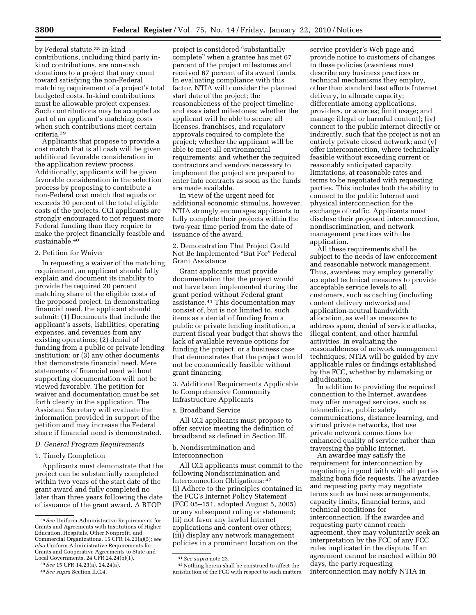by Federal statute.38 In-kind contributions, including third party inkind contributions, are non-cash donations to a project that may count toward satisfying the non-Federal matching requirement of a project's total budgeted costs. In-kind contributions must be allowable project expenses. Such contributions may be accepted as part of an applicant's matching costs when such contributions meet certain criteria.39

Applicants that propose to provide a cost match that is all cash will be given additional favorable consideration in the application review process. Additionally, applicants will be given favorable consideration in the selection process by proposing to contribute a non-Federal cost match that equals or exceeds 30 percent of the total eligible costs of the projects. CCI applicants are strongly encouraged to not request more Federal funding than they require to make the project financially feasible and sustainable.40

# 2. Petition for Waiver

In requesting a waiver of the matching requirement, an applicant should fully explain and document its inability to provide the required 20 percent matching share of the eligible costs of the proposed project. In demonstrating financial need, the applicant should submit: (1) Documents that include the applicant's assets, liabilities, operating expenses, and revenues from any existing operations; (2) denial of funding from a public or private lending institution; or (3) any other documents that demonstrate financial need. Mere statements of financial need without supporting documentation will not be viewed favorably. The petition for waiver and documentation must be set forth clearly in the application. The Assistant Secretary will evaluate the information provided in support of the petition and may increase the Federal share if financial need is demonstrated.

# *D. General Program Requirements*

# 1. Timely Completion

Applicants must demonstrate that the project can be substantially completed within two years of the start date of the grant award and fully completed no later than three years following the date of issuance of the grant award. A BTOP

project is considered ''substantially complete'' when a grantee has met 67 percent of the project milestones and received 67 percent of its award funds. In evaluating compliance with this factor, NTIA will consider the planned start date of the project; the reasonableness of the project timeline and associated milestones; whether the applicant will be able to secure all licenses, franchises, and regulatory approvals required to complete the project; whether the applicant will be able to meet all environmental requirements; and whether the required contractors and vendors necessary to implement the project are prepared to enter into contracts as soon as the funds are made available.

In view of the urgent need for additional economic stimulus, however, NTIA strongly encourages applicants to fully complete their projects within the two-year time period from the date of issuance of the award.

2. Demonstration That Project Could Not Be Implemented "But For" Federal Grant Assistance

Grant applicants must provide documentation that the project would not have been implemented during the grant period without Federal grant assistance.41 This documentation may consist of, but is not limited to, such items as a denial of funding from a public or private lending institution, a current fiscal year budget that shows the lack of available revenue options for funding the project, or a business case that demonstrates that the project would not be economically feasible without grant financing.

3. Additional Requirements Applicable to Comprehensive Community Infrastructure Applicants

# a. Broadband Service

All CCI applicants must propose to offer service meeting the definition of broadband as defined in Section III.

b. Nondiscrimination and Interconnection

All CCI applicants must commit to the following Nondiscrimination and Interconnection Obligations: 42 (i) Adhere to the principles contained in the FCC's Internet Policy Statement (FCC 05–151, adopted August 5, 2005) or any subsequent ruling or statement; (ii) not favor any lawful Internet applications and content over others; (iii) display any network management policies in a prominent location on the

42Nothing herein shall be construed to affect the jurisdiction of the FCC with respect to such matters.

service provider's Web page and provide notice to customers of changes to these policies (awardees must describe any business practices or technical mechanisms they employ, other than standard best efforts Internet delivery, to allocate capacity; differentiate among applications, providers, or sources; limit usage; and manage illegal or harmful content); (iv) connect to the public Internet directly or indirectly, such that the project is not an entirely private closed network; and (v) offer interconnection, where technically feasible without exceeding current or reasonably anticipated capacity limitations, at reasonable rates and terms to be negotiated with requesting parties. This includes both the ability to connect to the public Internet and physical interconnection for the exchange of traffic. Applicants must disclose their proposed interconnection, nondiscrimination, and network management practices with the application.

All these requirements shall be subject to the needs of law enforcement and reasonable network management. Thus, awardees may employ generally accepted technical measures to provide acceptable service levels to all customers, such as caching (including content delivery networks) and application-neutral bandwidth allocation, as well as measures to address spam, denial of service attacks, illegal content, and other harmful activities. In evaluating the reasonableness of network management techniques, NTIA will be guided by any applicable rules or findings established by the FCC, whether by rulemaking or adjudication.

In addition to providing the required connection to the Internet, awardees may offer managed services, such as telemedicine, public safety communications, distance learning, and virtual private networks, that use private network connections for enhanced quality of service rather than traversing the public Internet.

An awardee may satisfy the requirement for interconnection by negotiating in good faith with all parties making bona fide requests. The awardee and requesting party may negotiate terms such as business arrangements, capacity limits, financial terms, and technical conditions for interconnection. If the awardee and requesting party cannot reach agreement, they may voluntarily seek an interpretation by the FCC of any FCC rules implicated in the dispute. If an agreement cannot be reached within 90 days, the party requesting interconnection may notify NTIA in

<sup>38</sup>*See* Uniform Administrative Requirements for Grants and Agreements with Institutions of Higher Education, Hospitals, Other Nonprofit, and Commercial Organizations, 15 CFR 14.23(a)(5); *see also* Uniform Administrative Requirements for Grants and Cooperative Agreements to State and Local Governments, 24 CFR 24.24(b)(1).

<sup>39</sup>*See* 15 CFR 14.23(a), 24.24(a).

<sup>40</sup>*See supra* Section II.C.4.

<sup>41</sup>*See supra* note 23.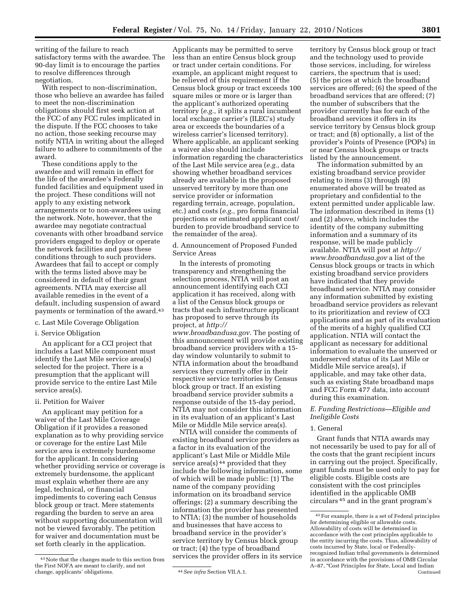writing of the failure to reach satisfactory terms with the awardee. The 90-day limit is to encourage the parties to resolve differences through negotiation.

With respect to non-discrimination, those who believe an awardee has failed to meet the non-discrimination obligations should first seek action at the FCC of any FCC rules implicated in the dispute. If the FCC chooses to take no action, those seeking recourse may notify NTIA in writing about the alleged failure to adhere to commitments of the award.

These conditions apply to the awardee and will remain in effect for the life of the awardee's Federally funded facilities and equipment used in the project. These conditions will not apply to any existing network arrangements or to non-awardees using the network. Note, however, that the awardee may negotiate contractual covenants with other broadband service providers engaged to deploy or operate the network facilities and pass these conditions through to such providers. Awardees that fail to accept or comply with the terms listed above may be considered in default of their grant agreements. NTIA may exercise all available remedies in the event of a default, including suspension of award payments or termination of the award.43

# c. Last Mile Coverage Obligation

# i. Service Obligation

An applicant for a CCI project that includes a Last Mile component must identify the Last Mile service area(s) selected for the project. There is a presumption that the applicant will provide service to the entire Last Mile service area(s).

#### ii. Petition for Waiver

An applicant may petition for a waiver of the Last Mile Coverage Obligation if it provides a reasoned explanation as to why providing service or coverage for the entire Last Mile service area is extremely burdensome for the applicant. In considering whether providing service or coverage is extremely burdensome, the applicant must explain whether there are any legal, technical, or financial impediments to covering each Census block group or tract. Mere statements regarding the burden to serve an area without supporting documentation will not be viewed favorably. The petition for waiver and documentation must be set forth clearly in the application.

Applicants may be permitted to serve less than an entire Census block group or tract under certain conditions. For example, an applicant might request to be relieved of this requirement if the Census block group or tract exceeds 100 square miles or more or is larger than the applicant's authorized operating territory (*e.g.,* it splits a rural incumbent local exchange carrier's (ILEC's) study area or exceeds the boundaries of a wireless carrier's licensed territory). Where applicable, an applicant seeking a waiver also should include information regarding the characteristics of the Last Mile service area (*e.g.,* data showing whether broadband services already are available in the proposed unserved territory by more than one service provider or information regarding terrain, acreage, population, etc.) and costs (*e.g.,* pro forma financial projections or estimated applicant cost/ burden to provide broadband service to the remainder of the area).

#### d. Announcement of Proposed Funded Service Areas

In the interests of promoting transparency and strengthening the selection process, NTIA will post an announcement identifying each CCI application it has received, along with a list of the Census block groups or tracts that each infrastructure applicant has proposed to serve through its project, at *http:// www.broadbandusa.gov.* The posting of this announcement will provide existing broadband service providers with a 15 day window voluntarily to submit to NTIA information about the broadband services they currently offer in their respective service territories by Census block group or tract. If an existing broadband service provider submits a response outside of the 15-day period, NTIA may not consider this information in its evaluation of an applicant's Last Mile or Middle Mile service area(s).

NTIA will consider the comments of existing broadband service providers as a factor in its evaluation of the applicant's Last Mile or Middle Mile service area(s)<sup>44</sup> provided that they include the following information, some of which will be made public: (1) The name of the company providing information on its broadband service offerings; (2) a summary describing the information the provider has presented to NTIA; (3) the number of households and businesses that have access to broadband service in the provider's service territory by Census block group or tract; (4) the type of broadband services the provider offers in its service

territory by Census block group or tract and the technology used to provide those services, including, for wireless carriers, the spectrum that is used; (5) the prices at which the broadband services are offered; (6) the speed of the broadband services that are offered; (7) the number of subscribers that the provider currently has for each of the broadband services it offers in its service territory by Census block group or tract; and (8) optionally, a list of the provider's Points of Presence (POPs) in or near Census block groups or tracts listed by the announcement.

The information submitted by an existing broadband service provider relating to items (3) through (8) enumerated above will be treated as proprietary and confidential to the extent permitted under applicable law. The information described in items (1) and (2) above, which includes the identity of the company submitting information and a summary of its response, will be made publicly available. NTIA will post at *http:// www.broadbandusa.gov* a list of the Census block groups or tracts in which existing broadband service providers have indicated that they provide broadband service. NTIA may consider any information submitted by existing broadband service providers as relevant to its prioritization and review of CCI applications and as part of its evaluation of the merits of a highly qualified CCI application. NTIA will contact the applicant as necessary for additional information to evaluate the unserved or underserved status of its Last Mile or Middle Mile service area(s), if applicable, and may take other data, such as existing State broadband maps and FCC Form 477 data, into account during this examination.

# *E. Funding Restrictions—Eligible and Ineligible Costs*

# 1. General

Grant funds that NTIA awards may not necessarily be used to pay for all of the costs that the grant recipient incurs in carrying out the project. Specifically, grant funds must be used only to pay for eligible costs. Eligible costs are consistent with the cost principles identified in the applicable OMB circulars 45 and in the grant program's

<sup>43</sup>Note that the changes made to this section from the First NOFA are meant to clarify, and not change, applicants' obligations. 44*See infra* Section VII.A.1.

<sup>45</sup>For example, there is a set of Federal principles for determining eligible or allowable costs. Allowability of costs will be determined in accordance with the cost principles applicable to the entity incurring the costs. Thus, allowability of costs incurred by State, local or Federallyrecognized Indian tribal governments is determined in accordance with the provisions of OMB Circular A–87, ''Cost Principles for State, Local and Indian Continued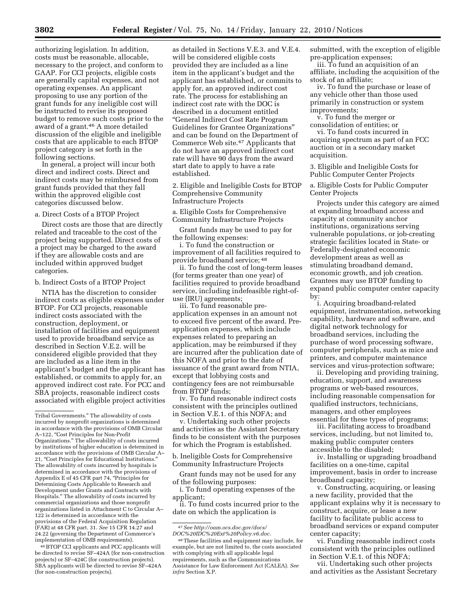authorizing legislation. In addition, costs must be reasonable, allocable, necessary to the project, and conform to GAAP. For CCI projects, eligible costs are generally capital expenses, and not operating expenses. An applicant proposing to use any portion of the grant funds for any ineligible cost will be instructed to revise its proposed budget to remove such costs prior to the award of a grant.46 A more detailed discussion of the eligible and ineligible costs that are applicable to each BTOP project category is set forth in the following sections.

In general, a project will incur both direct and indirect costs. Direct and indirect costs may be reimbursed from grant funds provided that they fall within the approved eligible cost categories discussed below.

a. Direct Costs of a BTOP Project

Direct costs are those that are directly related and traceable to the cost of the project being supported. Direct costs of a project may be charged to the award if they are allowable costs and are included within approved budget categories.

#### b. Indirect Costs of a BTOP Project

NTIA has the discretion to consider indirect costs as eligible expenses under BTOP. For CCI projects, reasonable indirect costs associated with the construction, deployment, or installation of facilities and equipment used to provide broadband service as described in Section V.E.2. will be considered eligible provided that they are included as a line item in the applicant's budget and the applicant has established, or commits to apply for, an approved indirect cost rate. For PCC and SBA projects, reasonable indirect costs associated with eligible project activities

46BTOP CCI applicants and PCC applicants will be directed to revise SF–424A (for non-construction projects) or SF–424C (for construction projects). SBA applicants will be directed to revise SF–424A (for non-construction projects).

as detailed in Sections V.E.3. and V.E.4. will be considered eligible costs provided they are included as a line item in the applicant's budget and the applicant has established, or commits to apply for, an approved indirect cost rate. The process for establishing an indirect cost rate with the DOC is described in a document entitled ''General Indirect Cost Rate Program Guidelines for Grantee Organizations'' and can be found on the Department of Commerce Web site.47 Applicants that do not have an approved indirect cost rate will have 90 days from the award start date to apply to have a rate established.

2. Eligible and Ineligible Costs for BTOP Comprehensive Community Infrastructure Projects

a. Eligible Costs for Comprehensive Community Infrastructure Projects

Grant funds may be used to pay for the following expenses:

i. To fund the construction or improvement of all facilities required to provide broadband service; 48

ii. To fund the cost of long-term leases (for terms greater than one year) of facilities required to provide broadband service, including indefeasible right-ofuse (IRU) agreements;

iii. To fund reasonable preapplication expenses in an amount not to exceed five percent of the award. Preapplication expenses, which include expenses related to preparing an application, may be reimbursed if they are incurred after the publication date of this NOFA and prior to the date of issuance of the grant award from NTIA, except that lobbying costs and contingency fees are not reimbursable from BTOP funds;

iv. To fund reasonable indirect costs consistent with the principles outlined in Section V.E.1. of this NOFA; and

v. Undertaking such other projects and activities as the Assistant Secretary finds to be consistent with the purposes for which the Program is established.

b. Ineligible Costs for Comprehensive Community Infrastructure Projects

Grant funds may not be used for any of the following purposes:

i. To fund operating expenses of the applicant;

ii. To fund costs incurred prior to the date on which the application is

47*See http://oam.ocs.doc.gov/docs/ DOC%20IDC%20Ext%20Policy.v6.doc.*  submitted, with the exception of eligible pre-application expenses;

iii. To fund an acquisition of an affiliate, including the acquisition of the stock of an affiliate;

iv. To fund the purchase or lease of any vehicle other than those used primarily in construction or system improvements;

v. To fund the merger or consolidation of entities; or

vi. To fund costs incurred in acquiring spectrum as part of an FCC auction or in a secondary market acquisition.

3. Eligible and Ineligible Costs for Public Computer Center Projects

a. Eligible Costs for Public Computer Center Projects

Projects under this category are aimed at expanding broadband access and capacity at community anchor institutions, organizations serving vulnerable populations, or job-creating strategic facilities located in State- or Federally-designated economic development areas as well as stimulating broadband demand, economic growth, and job creation. Grantees may use BTOP funding to expand public computer center capacity by:

i. Acquiring broadband-related equipment, instrumentation, networking capability, hardware and software, and digital network technology for broadband services, including the purchase of word processing software, computer peripherals, such as mice and printers, and computer maintenance services and virus-protection software;

ii. Developing and providing training, education, support, and awareness programs or web-based resources, including reasonable compensation for qualified instructors, technicians, managers, and other employees essential for these types of programs;

iii. Facilitating access to broadband services, including, but not limited to, making public computer centers accessible to the disabled;

iv. Installing or upgrading broadband facilities on a one-time, capital improvement, basis in order to increase broadband capacity;

v. Constructing, acquiring, or leasing a new facility, provided that the applicant explains why it is necessary to construct, acquire, or lease a new facility to facilitate public access to broadband services or expand computer center capacity;

vi. Funding reasonable indirect costs consistent with the principles outlined in Section V.E.1. of this NOFA;

vii. Undertaking such other projects and activities as the Assistant Secretary

Tribal Governments.'' The allowability of costs incurred by nonprofit organizations is determined in accordance with the provisions of OMB Circular A-122, "Cost Principles for Non-Profit Organizations.'' The allowability of costs incurred by institutions of higher education is determined in accordance with the provisions of OMB Circular A– 21, "Cost Principles for Educational Institutions." The allowability of costs incurred by hospitals is determined in accordance with the provisions of Appendix E of 45 CFR part 74, ''Principles for Determining Costs Applicable to Research and Development under Grants and Contracts with Hospitals.'' The allowability of costs incurred by commercial organizations and those nonprofit organizations listed in Attachment C to Circular A– 122 is determined in accordance with the provisions of the Federal Acquisition Regulation (FAR) at 48 CFR part. 31. *See* 15 CFR 14.27 and 24.22 (governing the Department of Commerce's implementation of OMB requirements).

<sup>48</sup>These facilities and equipment may include, for example, but are not limited to, the costs associated with complying with all applicable legal requirements, such as the Communications Assistance for Law Enforcement Act (CALEA). *See infra* Section X.P.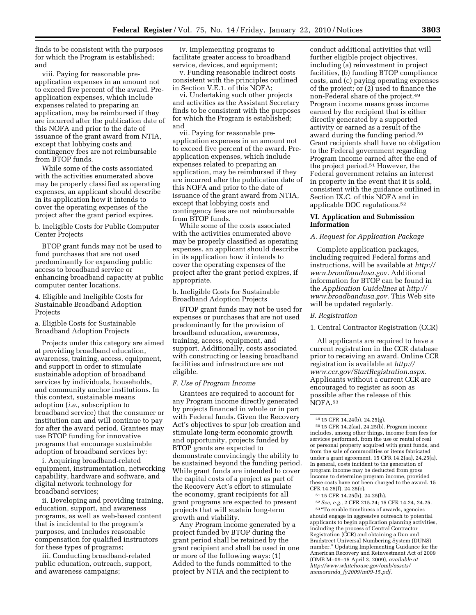finds to be consistent with the purposes for which the Program is established; and

viii. Paying for reasonable preapplication expenses in an amount not to exceed five percent of the award. Preapplication expenses, which include expenses related to preparing an application, may be reimbursed if they are incurred after the publication date of this NOFA and prior to the date of issuance of the grant award from NTIA, except that lobbying costs and contingency fees are not reimbursable from BTOP funds.

While some of the costs associated with the activities enumerated above may be properly classified as operating expenses, an applicant should describe in its application how it intends to cover the operating expenses of the project after the grant period expires.

b. Ineligible Costs for Public Computer Center Projects

BTOP grant funds may not be used to fund purchases that are not used predominantly for expanding public access to broadband service or enhancing broadband capacity at public computer center locations.

4. Eligible and Ineligible Costs for Sustainable Broadband Adoption Projects

a. Eligible Costs for Sustainable Broadband Adoption Projects

Projects under this category are aimed at providing broadband education, awareness, training, access, equipment, and support in order to stimulate sustainable adoption of broadband services by individuals, households, and community anchor institutions. In this context, sustainable means adoption (*i.e.,* subscription to broadband service) that the consumer or institution can and will continue to pay for after the award period. Grantees may use BTOP funding for innovative programs that encourage sustainable adoption of broadband services by:

i. Acquiring broadband-related equipment, instrumentation, networking capability, hardware and software, and digital network technology for broadband services;

ii. Developing and providing training, education, support, and awareness programs, as well as web-based content that is incidental to the program's purposes, and includes reasonable compensation for qualified instructors for these types of programs;

iii. Conducting broadband-related public education, outreach, support, and awareness campaigns;

iv. Implementing programs to facilitate greater access to broadband service, devices, and equipment;

v. Funding reasonable indirect costs consistent with the principles outlined in Section V.E.1. of this NOFA;

vi. Undertaking such other projects and activities as the Assistant Secretary finds to be consistent with the purposes for which the Program is established; and

vii. Paying for reasonable preapplication expenses in an amount not to exceed five percent of the award. Preapplication expenses, which include expenses related to preparing an application, may be reimbursed if they are incurred after the publication date of this NOFA and prior to the date of issuance of the grant award from NTIA, except that lobbying costs and contingency fees are not reimbursable from BTOP funds.

While some of the costs associated with the activities enumerated above may be properly classified as operating expenses, an applicant should describe in its application how it intends to cover the operating expenses of the project after the grant period expires, if appropriate.

b. Ineligible Costs for Sustainable Broadband Adoption Projects

BTOP grant funds may not be used for expenses or purchases that are not used predominantly for the provision of broadband education, awareness, training, access, equipment, and support. Additionally, costs associated with constructing or leasing broadband facilities and infrastructure are not eligible.

#### *F. Use of Program Income*

Grantees are required to account for any Program income directly generated by projects financed in whole or in part with Federal funds. Given the Recovery Act's objectives to spur job creation and stimulate long-term economic growth and opportunity, projects funded by BTOP grants are expected to demonstrate convincingly the ability to be sustained beyond the funding period. While grant funds are intended to cover the capital costs of a project as part of the Recovery Act's effort to stimulate the economy, grant recipients for all grant programs are expected to present projects that will sustain long-term growth and viability.

Any Program income generated by a project funded by BTOP during the grant period shall be retained by the grant recipient and shall be used in one or more of the following ways: (1) Added to the funds committed to the project by NTIA and the recipient to

conduct additional activities that will further eligible project objectives, including (a) reinvestment in project facilities, (b) funding BTOP compliance costs, and (c) paying operating expenses of the project; or (2) used to finance the non-Federal share of the project.49 Program income means gross income earned by the recipient that is either directly generated by a supported activity or earned as a result of the award during the funding period.50 Grant recipients shall have no obligation to the Federal government regarding Program income earned after the end of the project period.<sup>51</sup> However, the Federal government retains an interest in property in the event that it is sold, consistent with the guidance outlined in Section IX.C. of this NOFA and in applicable DOC regulations.52

# **VI. Application and Submission Information**

#### *A. Request for Application Package*

Complete application packages, including required Federal forms and instructions, will be available at *http:// www.broadbandusa.gov.* Additional information for BTOP can be found in the *Application Guidelines* at *http:// www.broadbandusa.gov.* This Web site will be updated regularly.

# *B. Registration*

1. Central Contractor Registration (CCR)

All applicants are required to have a current registration in the CCR database prior to receiving an award. Online CCR registration is available at *http:// www.ccr.gov/StartRegistration.aspx.*  Applicants without a current CCR are encouraged to register as soon as possible after the release of this NOFA.53

52*See, e.g.,* 2 CFR 215.24; 15 CFR 14.24, 24.25. 53 ''To enable timeliness of awards, agencies should engage in aggressive outreach to potential applicants to begin application planning activities, including the process of Central Contractor Registration (CCR) and obtaining a Dun and Bradstreet Universal Numbering System (DUNS) number.'' Updating Implementing Guidance for the American Recovery and Reinvestment Act of 2009 (OMB M–09–15 April 3, 2009), *available at http://www.whitehouse.gov/omb/assets/ memoranda*\_*fy2009/m09-15.pdf.* 

<sup>49</sup> 15 CFR 14.24(b), 24.25(g).

<sup>50</sup> 15 CFR 14.2(aa), 24.25(b). Program income includes, among other things, income from fees for services performed, from the use or rental of real or personal property acquired with grant funds, and from the sale of commodities or items fabricated under a grant agreement. 15 CFR 14.2(aa), 24.25(a). In general, costs incident to the generation of program income may be deducted from gross income to determine program income, provided these costs have not been charged to the award. 15 CFR 14.25(f), 24.25(c).

<sup>51</sup> 15 CFR 14.25(h), 24.25(h).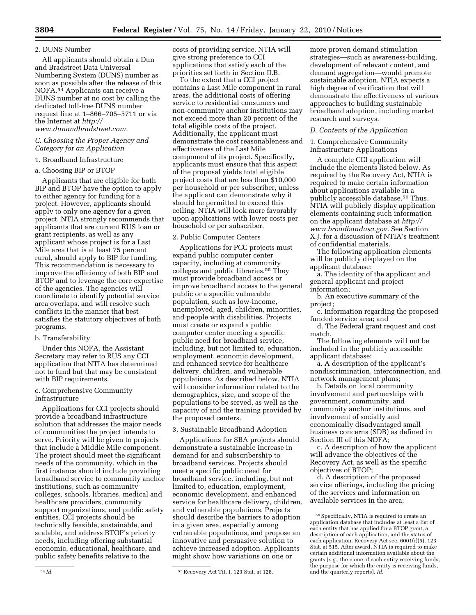#### 2. DUNS Number

All applicants should obtain a Dun and Bradstreet Data Universal Numbering System (DUNS) number as soon as possible after the release of this NOFA.54 Applicants can receive a DUNS number at no cost by calling the dedicated toll-free DUNS number request line at 1–866–705–5711 or via the Internet at *http:// www.dunandbradstreet.com.* 

# *C. Choosing the Proper Agency and Category for an Application*

# 1. Broadband Infrastructure

# a. Choosing BIP or BTOP

Applicants that are eligible for both BIP and BTOP have the option to apply to either agency for funding for a project. However, applicants should apply to only one agency for a given project. NTIA strongly recommends that applicants that are current RUS loan or grant recipients, as well as any applicant whose project is for a Last Mile area that is at least 75 percent rural, should apply to BIP for funding. This recommendation is necessary to improve the efficiency of both BIP and BTOP and to leverage the core expertise of the agencies. The agencies will coordinate to identify potential service area overlaps, and will resolve such conflicts in the manner that best satisfies the statutory objectives of both programs.

# b. Transferability

Under this NOFA, the Assistant Secretary may refer to RUS any CCI application that NTIA has determined not to fund but that may be consistent with BIP requirements.

#### c. Comprehensive Community Infrastructure

Applications for CCI projects should provide a broadband infrastructure solution that addresses the major needs of communities the project intends to serve. Priority will be given to projects that include a Middle Mile component. The project should meet the significant needs of the community, which in the first instance should include providing broadband service to community anchor institutions, such as community colleges, schools, libraries, medical and healthcare providers, community support organizations, and public safety entities. CCI projects should be technically feasible, sustainable, and scalable, and address BTOP's priority needs, including offering substantial economic, educational, healthcare, and public safety benefits relative to the

costs of providing service. NTIA will give strong preference to CCI applications that satisfy each of the priorities set forth in Section II.B.

To the extent that a CCI project contains a Last Mile component in rural areas, the additional costs of offering service to residential consumers and non-community anchor institutions may not exceed more than 20 percent of the total eligible costs of the project. Additionally, the applicant must demonstrate the cost reasonableness and effectiveness of the Last Mile component of its project. Specifically, applicants must ensure that this aspect of the proposal yields total eligible project costs that are less than \$10,000 per household or per subscriber, unless the applicant can demonstrate why it should be permitted to exceed this ceiling. NTIA will look more favorably upon applications with lower costs per household or per subscriber.

# 2. Public Computer Centers

Applications for PCC projects must expand public computer center capacity, including at community colleges and public libraries.55 They must provide broadband access or improve broadband access to the general public or a specific vulnerable population, such as low-income, unemployed, aged, children, minorities, and people with disabilities. Projects must create or expand a public computer center meeting a specific public need for broadband service, including, but not limited to, education, employment, economic development, and enhanced service for healthcare delivery, children, and vulnerable populations. As described below, NTIA will consider information related to the demographics, size, and scope of the populations to be served, as well as the capacity of and the training provided by the proposed centers.

# 3. Sustainable Broadband Adoption

Applications for SBA projects should demonstrate a sustainable increase in demand for and subscribership to broadband services. Projects should meet a specific public need for broadband service, including, but not limited to, education, employment, economic development, and enhanced service for healthcare delivery, children, and vulnerable populations. Projects should describe the barriers to adoption in a given area, especially among vulnerable populations, and propose an innovative and persuasive solution to achieve increased adoption. Applicants might show how variations on one or

more proven demand stimulation strategies—such as awareness-building, development of relevant content, and demand aggregation—would promote sustainable adoption. NTIA expects a high degree of verification that will demonstrate the effectiveness of various approaches to building sustainable broadband adoption, including market research and surveys.

#### *D. Contents of the Application*

1. Comprehensive Community Infrastructure Applications

A complete CCI application will include the elements listed below. As required by the Recovery Act, NTIA is required to make certain information about applications available in a publicly accessible database.56 Thus, NTIA will publicly display application elements containing such information on the applicant database at *http:// www.broadbandusa.gov.* See Section X.J. for a discussion of NTIA's treatment of confidential materials.

The following application elements will be publicly displayed on the applicant database:

a. The identity of the applicant and general applicant and project information;

b. An executive summary of the project;

c. Information regarding the proposed funded service area; and

d. The Federal grant request and cost match.

The following elements will not be included in the publicly accessible applicant database:

a. A description of the applicant's nondiscrimination, interconnection, and network management plans;

b. Details on local community involvement and partnerships with government, community, and community anchor institutions, and involvement of socially and economically disadvantaged small business concerns (SDB) as defined in Section III of this NOFA;

c. A description of how the applicant will advance the objectives of the Recovery Act, as well as the specific objectives of BTOP;

d. A description of the proposed service offerings, including the pricing of the services and information on available services in the area;

<sup>54</sup> *Id.* 55Recovery Act Tit. I, 123 Stat. at 128.

<sup>56</sup>Specifically, NTIA is required to create an application database that includes at least a list of each entity that has applied for a BTOP grant, a description of each application, and the status of each application. Recovery Act sec. 6001(i)(5), 123 Stat. at 515. After award, NTIA is required to make certain additional information available about the grants (*e.g.,* the name of each entity receiving funds, the purpose for which the entity is receiving funds, and the quarterly reports). *Id.*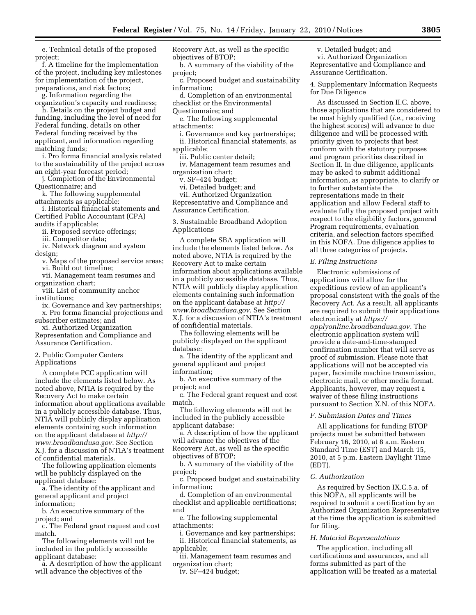e. Technical details of the proposed project;

f. A timeline for the implementation of the project, including key milestones for implementation of the project, preparations, and risk factors;

g. Information regarding the organization's capacity and readiness;

h. Details on the project budget and funding, including the level of need for Federal funding, details on other Federal funding received by the applicant, and information regarding matching funds;

i. Pro forma financial analysis related to the sustainability of the project across an eight-year forecast period;

j. Completion of the Environmental Questionnaire; and

k. The following supplemental attachments as applicable:

i. Historical financial statements and Certified Public Accountant (CPA) audits if applicable;

ii. Proposed service offerings;

iii. Competitor data;

iv. Network diagram and system design;

v. Maps of the proposed service areas; vi. Build out timeline;

vii. Management team resumes and

organization chart;

viii. List of community anchor institutions;

ix. Governance and key partnerships; x. Pro forma financial projections and subscriber estimates; and

xi. Authorized Organization Representation and Compliance and Assurance Certification.

# 2. Public Computer Centers Applications

A complete PCC application will include the elements listed below. As noted above, NTIA is required by the Recovery Act to make certain information about applications available in a publicly accessible database. Thus, NTIA will publicly display application elements containing such information on the applicant database at *http:// www.broadbandusa.gov.* See Section X.J. for a discussion of NTIA's treatment of confidential materials.

The following application elements will be publicly displayed on the applicant database:

a. The identity of the applicant and general applicant and project information;

b. An executive summary of the project; and

c. The Federal grant request and cost match.

The following elements will not be included in the publicly accessible applicant database:

a. A description of how the applicant will advance the objectives of the

Recovery Act, as well as the specific objectives of BTOP;

b. A summary of the viability of the project;

c. Proposed budget and sustainability information;

d. Completion of an environmental checklist or the Environmental

Questionnaire; and

e. The following supplemental attachments:

i. Governance and key partnerships; ii. Historical financial statements, as applicable;

iii. Public center detail;

iv. Management team resumes and organization chart;

v. SF–424 budget;

vi. Detailed budget; and

vii. Authorized Organization

Representative and Compliance and Assurance Certification.

3. Sustainable Broadband Adoption Applications

A complete SBA application will include the elements listed below. As noted above, NTIA is required by the Recovery Act to make certain information about applications available in a publicly accessible database. Thus, NTIA will publicly display application elements containing such information on the applicant database at *http:// www.broadbandusa.gov.* See Section X.J. for a discussion of NTIA's treatment of confidential materials.

The following elements will be publicly displayed on the applicant database:

a. The identity of the applicant and general applicant and project information;

b. An executive summary of the project; and

c. The Federal grant request and cost match.

The following elements will not be included in the publicly accessible applicant database:

a. A description of how the applicant will advance the objectives of the Recovery Act, as well as the specific objectives of BTOP;

b. A summary of the viability of the project;

c. Proposed budget and sustainability information;

d. Completion of an environmental checklist and applicable certifications; and

e. The following supplemental attachments:

i. Governance and key partnerships;

ii. Historical financial statements, as applicable;

iii. Management team resumes and organization chart;

iv. SF–424 budget;

v. Detailed budget; and vi. Authorized Organization Representative and Compliance and Assurance Certification.

4. Supplementary Information Requests for Due Diligence

As discussed in Section II.C. above, those applications that are considered to be most highly qualified (*i.e.,* receiving the highest scores) will advance to due diligence and will be processed with priority given to projects that best conform with the statutory purposes and program priorities described in Section II. In due diligence, applicants may be asked to submit additional information, as appropriate, to clarify or to further substantiate the representations made in their application and allow Federal staff to evaluate fully the proposed project with respect to the eligibility factors, general Program requirements, evaluation criteria, and selection factors specified in this NOFA. Due diligence applies to all three categories of projects.

#### *E. Filing Instructions*

Electronic submissions of applications will allow for the expeditious review of an applicant's proposal consistent with the goals of the Recovery Act. As a result, all applicants are required to submit their applications electronically at *https:// applyonline.broadbandusa.gov.* The electronic application system will provide a date-and-time-stamped confirmation number that will serve as proof of submission. Please note that applications will not be accepted via paper, facsimile machine transmission, electronic mail, or other media format. Applicants, however, may request a waiver of these filing instructions pursuant to Section X.N. of this NOFA.

# *F. Submission Dates and Times*

All applications for funding BTOP projects must be submitted between February 16, 2010, at 8 a.m. Eastern Standard Time (EST) and March 15, 2010, at 5 p.m. Eastern Daylight Time (EDT).

# *G. Authorization*

As required by Section IX.C.5.a. of this NOFA, all applicants will be required to submit a certification by an Authorized Organization Representative at the time the application is submitted for filing.

# *H. Material Representations*

The application, including all certifications and assurances, and all forms submitted as part of the application will be treated as a material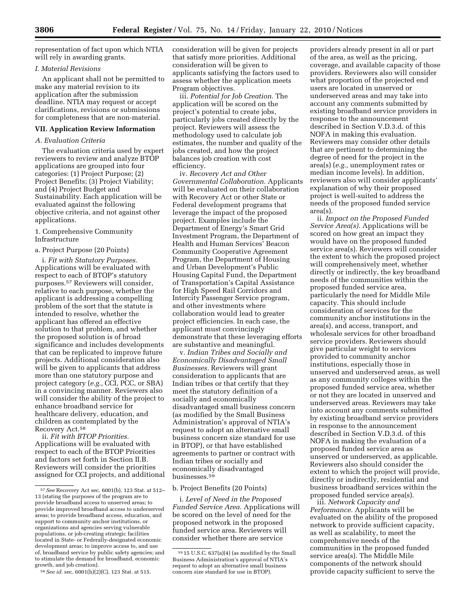representation of fact upon which NTIA will rely in awarding grants.

# *I. Material Revisions*

An applicant shall not be permitted to make any material revision to its application after the submission deadline. NTIA may request or accept clarifications, revisions or submissions for completeness that are non-material.

## **VII. Application Review Information**

# *A. Evaluation Criteria*

The evaluation criteria used by expert reviewers to review and analyze BTOP applications are grouped into four categories: (1) Project Purpose; (2) Project Benefits; (3) Project Viability; and (4) Project Budget and Sustainability. Each application will be evaluated against the following objective criteria, and not against other applications.

1. Comprehensive Community Infrastructure

# a. Project Purpose (20 Points)

i. *Fit with Statutory Purposes.*  Applications will be evaluated with respect to each of BTOP's statutory purposes.57 Reviewers will consider, relative to each purpose, whether the applicant is addressing a compelling problem of the sort that the statute is intended to resolve, whether the applicant has offered an effective solution to that problem, and whether the proposed solution is of broad significance and includes developments that can be replicated to improve future projects. Additional consideration also will be given to applicants that address more than one statutory purpose and project category (*e.g.,* CCI, PCC, or SBA) in a convincing manner. Reviewers also will consider the ability of the project to enhance broadband service for healthcare delivery, education, and children as contemplated by the Recovery Act.58

ii. *Fit with BTOP Priorities.*  Applications will be evaluated with respect to each of the BTOP Priorities and factors set forth in Section II.B. Reviewers will consider the priorities assigned for CCI projects, and additional consideration will be given for projects that satisfy more priorities. Additional consideration will be given to applicants satisfying the factors used to assess whether the application meets Program objectives.

iii. *Potential for Job Creation.* The application will be scored on the project's potential to create jobs, particularly jobs created directly by the project. Reviewers will assess the methodology used to calculate job estimates, the number and quality of the jobs created, and how the project balances job creation with cost efficiency.

iv. *Recovery Act and Other Governmental Collaboration.* Applicants will be evaluated on their collaboration with Recovery Act or other State or Federal development programs that leverage the impact of the proposed project. Examples include the Department of Energy's Smart Grid Investment Program, the Department of Health and Human Services' Beacon Community Cooperative Agreement Program, the Department of Housing and Urban Development's Public Housing Capital Fund, the Department of Transportation's Capital Assistance for High Speed Rail Corridors and Intercity Passenger Service program, and other investments where collaboration would lead to greater project efficiencies. In each case, the applicant must convincingly demonstrate that these leveraging efforts are substantive and meaningful.

v. *Indian Tribes and Socially and Economically Disadvantaged Small Businesses.* Reviewers will grant consideration to applicants that are Indian tribes or that certify that they meet the statutory definition of a socially and economically disadvantaged small business concern (as modified by the Small Business Administration's approval of NTIA's request to adopt an alternative small business concern size standard for use in BTOP), or that have established agreements to partner or contract with Indian tribes or socially and economically disadvantaged businesses.59

#### b. Project Benefits (20 Points)

i. *Level of Need in the Proposed Funded Service Area.* Applications will be scored on the level of need for the proposed network in the proposed funded service area. Reviewers will consider whether there are service

providers already present in all or part of the area, as well as the pricing, coverage, and available capacity of those providers. Reviewers also will consider what proportion of the projected end users are located in unserved or underserved areas and may take into account any comments submitted by existing broadband service providers in response to the announcement described in Section V.D.3.d. of this NOFA in making this evaluation. Reviewers may consider other details that are pertinent to determining the degree of need for the project in the area(s) (*e.g.,* unemployment rates or median income levels). In addition, reviewers also will consider applicants' explanation of why their proposed project is well-suited to address the needs of the proposed funded service area(s).

ii. *Impact on the Proposed Funded Service Area(s).* Applications will be scored on how great an impact they would have on the proposed funded service area(s). Reviewers will consider the extent to which the proposed project will comprehensively meet, whether directly or indirectly, the key broadband needs of the communities within the proposed funded service area, particularly the need for Middle Mile capacity. This should include consideration of services for the community anchor institutions in the area(s), and access, transport, and wholesale services for other broadband service providers. Reviewers should give particular weight to services provided to community anchor institutions, especially those in unserved and underserved areas, as well as any community colleges within the proposed funded service area, whether or not they are located in unserved and underserved areas. Reviewers may take into account any comments submitted by existing broadband service providers in response to the announcement described in Section V.D.3.d. of this NOFA in making the evaluation of a proposed funded service area as unserved or underserved, as applicable. Reviewers also should consider the extent to which the project will provide, directly or indirectly, residential and business broadband services within the proposed funded service area(s).

iii. *Network Capacity and Performance.* Applicants will be evaluated on the ability of the proposed network to provide sufficient capacity, as well as scalability, to meet the comprehensive needs of the communities in the proposed funded service area(s). The Middle Mile components of the network should provide capacity sufficient to serve the

<sup>57</sup>*See* Recovery Act sec. 6001(b), 123 Stat. at 512– 13 (stating the purposes of the program are to provide broadband access to unserved areas; to provide improved broadband access to underserved areas; to provide broadband access, education, and support to community anchor institutions, or organizations and agencies serving vulnerable populations, or job-creating strategic facilities located in State- or Federally-designated economic development areas; to improve access to, and use of, broadband service by public safety agencies; and to stimulate the demand for broadband, economic growth, and job creation).

<sup>58</sup>*See id.* sec. 6001(h)(2)(C), 123 Stat. at 515.

<sup>59</sup> 15 U.S.C. 637(a)(4) (as modified by the Small Business Administration's approval of NTIA's request to adopt an alternative small business concern size standard for use in BTOP).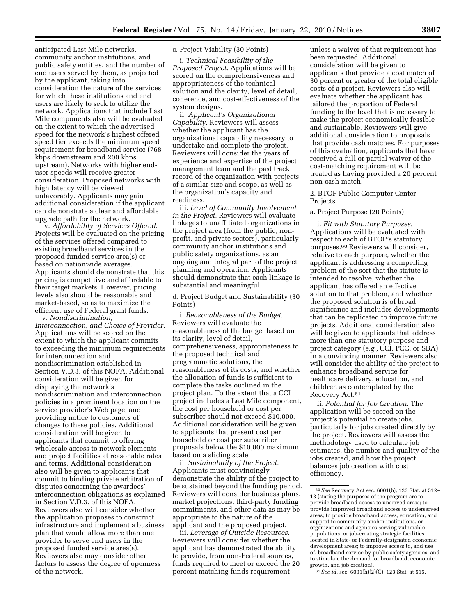anticipated Last Mile networks, community anchor institutions, and public safety entities, and the number of end users served by them, as projected by the applicant, taking into consideration the nature of the services for which these institutions and end users are likely to seek to utilize the network. Applications that include Last Mile components also will be evaluated on the extent to which the advertised speed for the network's highest offered speed tier exceeds the minimum speed requirement for broadband service (768 kbps downstream and 200 kbps upstream). Networks with higher enduser speeds will receive greater consideration. Proposed networks with high latency will be viewed unfavorably. Applicants may gain additional consideration if the applicant can demonstrate a clear and affordable upgrade path for the network.

iv. *Affordability of Services Offered.*  Projects will be evaluated on the pricing of the services offered compared to existing broadband services in the proposed funded service area(s) or based on nationwide averages. Applicants should demonstrate that this pricing is competitive and affordable to their target markets. However, pricing levels also should be reasonable and market-based, so as to maximize the efficient use of Federal grant funds.

v. *Nondiscrimination, Interconnection, and Choice of Provider.*  Applications will be scored on the extent to which the applicant commits to exceeding the minimum requirements for interconnection and nondiscrimination established in Section V.D.3. of this NOFA. Additional consideration will be given for displaying the network's nondiscrimination and interconnection policies in a prominent location on the service provider's Web page, and providing notice to customers of changes to these policies. Additional consideration will be given to applicants that commit to offering wholesale access to network elements and project facilities at reasonable rates and terms. Additional consideration also will be given to applicants that commit to binding private arbitration of disputes concerning the awardees' interconnection obligations as explained in Section V.D.3. of this NOFA. Reviewers also will consider whether the application proposes to construct infrastructure and implement a business plan that would allow more than one provider to serve end users in the proposed funded service area(s). Reviewers also may consider other factors to assess the degree of openness of the network.

# c. Project Viability (30 Points)

i. *Technical Feasibility of the Proposed Project.* Applications will be scored on the comprehensiveness and appropriateness of the technical solution and the clarity, level of detail, coherence, and cost-effectiveness of the system designs.

ii. *Applicant's Organizational Capability.* Reviewers will assess whether the applicant has the organizational capability necessary to undertake and complete the project. Reviewers will consider the years of experience and expertise of the project management team and the past track record of the organization with projects of a similar size and scope, as well as the organization's capacity and readiness.

iii. *Level of Community Involvement in the Project.* Reviewers will evaluate linkages to unaffiliated organizations in the project area (from the public, nonprofit, and private sectors), particularly community anchor institutions and public safety organizations, as an ongoing and integral part of the project planning and operation. Applicants should demonstrate that each linkage is substantial and meaningful.

d. Project Budget and Sustainability (30 Points)

i. *Reasonableness of the Budget.*  Reviewers will evaluate the reasonableness of the budget based on its clarity, level of detail, comprehensiveness, appropriateness to the proposed technical and programmatic solutions, the reasonableness of its costs, and whether the allocation of funds is sufficient to complete the tasks outlined in the project plan. To the extent that a CCI project includes a Last Mile component, the cost per household or cost per subscriber should not exceed \$10,000. Additional consideration will be given to applicants that present cost per household or cost per subscriber proposals below the \$10,000 maximum based on a sliding scale.

ii. *Sustainability of the Project.*  Applicants must convincingly demonstrate the ability of the project to be sustained beyond the funding period. Reviewers will consider business plans, market projections, third-party funding commitments, and other data as may be appropriate to the nature of the applicant and the proposed project.

iii. *Leverage of Outside Resources.*  Reviewers will consider whether the applicant has demonstrated the ability to provide, from non-Federal sources, funds required to meet or exceed the 20 percent matching funds requirement

unless a waiver of that requirement has been requested. Additional consideration will be given to applicants that provide a cost match of 30 percent or greater of the total eligible costs of a project. Reviewers also will evaluate whether the applicant has tailored the proportion of Federal funding to the level that is necessary to make the project economically feasible and sustainable. Reviewers will give additional consideration to proposals that provide cash matches. For purposes of this evaluation, applicants that have received a full or partial waiver of the cost-matching requirement will be treated as having provided a 20 percent non-cash match.

2. BTOP Public Computer Center Projects

# a. Project Purpose (20 Points)

i. *Fit with Statutory Purposes.*  Applications will be evaluated with respect to each of BTOP's statutory purposes.60 Reviewers will consider, relative to each purpose, whether the applicant is addressing a compelling problem of the sort that the statute is intended to resolve, whether the applicant has offered an effective solution to that problem, and whether the proposed solution is of broad significance and includes developments that can be replicated to improve future projects. Additional consideration also will be given to applicants that address more than one statutory purpose and project category (*e.g.,* CCI, PCC, or SBA) in a convincing manner. Reviewers also will consider the ability of the project to enhance broadband service for healthcare delivery, education, and children as contemplated by the Recovery Act.61

ii. *Potential for Job Creation.* The application will be scored on the project's potential to create jobs, particularly for jobs created directly by the project. Reviewers will assess the methodology used to calculate job estimates, the number and quality of the jobs created, and how the project balances job creation with cost efficiency.

61*See id.* sec. 6001(h)(2)(C), 123 Stat. at 515.

<sup>60</sup>*See* Recovery Act sec. 6001(b), 123 Stat. at 512– 13 (stating the purposes of the program are to provide broadband access to unserved areas; to provide improved broadband access to underserved areas; to provide broadband access, education, and support to community anchor institutions, or organizations and agencies serving vulnerable populations, or job-creating strategic facilities located in State- or Federally-designated economic development areas; to improve access to, and use of, broadband service by public safety agencies; and to stimulate the demand for broadband, economic growth, and job creation).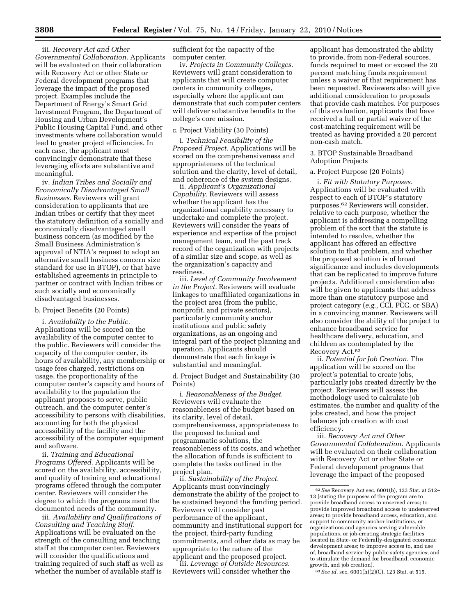iii. *Recovery Act and Other Governmental Collaboration.* Applicants will be evaluated on their collaboration with Recovery Act or other State or Federal development programs that leverage the impact of the proposed project. Examples include the Department of Energy's Smart Grid Investment Program, the Department of Housing and Urban Development's Public Housing Capital Fund, and other investments where collaboration would lead to greater project efficiencies. In each case, the applicant must convincingly demonstrate that these leveraging efforts are substantive and meaningful.

iv. *Indian Tribes and Socially and Economically Disadvantaged Small Businesses.* Reviewers will grant consideration to applicants that are Indian tribes or certify that they meet the statutory definition of a socially and economically disadvantaged small business concern (as modified by the Small Business Administration's approval of NTIA's request to adopt an alternative small business concern size standard for use in BTOP), or that have established agreements in principle to partner or contract with Indian tribes or such socially and economically disadvantaged businesses.

#### b. Project Benefits (20 Points)

i. *Availability to the Public.*  Applications will be scored on the availability of the computer center to the public. Reviewers will consider the capacity of the computer center, its hours of availability, any membership or usage fees charged, restrictions on usage, the proportionality of the computer center's capacity and hours of availability to the population the applicant proposes to serve, public outreach, and the computer center's accessibility to persons with disabilities, accounting for both the physical accessibility of the facility and the accessibility of the computer equipment and software.

ii. *Training and Educational Programs Offered.* Applicants will be scored on the availability, accessibility, and quality of training and educational programs offered through the computer center. Reviewers will consider the degree to which the programs meet the documented needs of the community.

iii. *Availability and Qualifications of Consulting and Teaching Staff.*  Applications will be evaluated on the strength of the consulting and teaching staff at the computer center. Reviewers will consider the qualifications and training required of such staff as well as whether the number of available staff is

sufficient for the capacity of the computer center.

iv. *Projects in Community Colleges.*  Reviewers will grant consideration to applicants that will create computer centers in community colleges, especially where the applicant can demonstrate that such computer centers will deliver substantive benefits to the college's core mission.

# c. Project Viability (30 Points)

i. *Technical Feasibility of the Proposed Project.* Applications will be scored on the comprehensiveness and appropriateness of the technical solution and the clarity, level of detail, and coherence of the system designs.

ii. *Applicant's Organizational Capability.* Reviewers will assess whether the applicant has the organizational capability necessary to undertake and complete the project. Reviewers will consider the years of experience and expertise of the project management team, and the past track record of the organization with projects of a similar size and scope, as well as the organization's capacity and readiness.

iii. *Level of Community Involvement in the Project.* Reviewers will evaluate linkages to unaffiliated organizations in the project area (from the public, nonprofit, and private sectors), particularly community anchor institutions and public safety organizations, as an ongoing and integral part of the project planning and operation. Applicants should demonstrate that each linkage is substantial and meaningful.

d. Project Budget and Sustainability (30 Points)

i. *Reasonableness of the Budget.*  Reviewers will evaluate the reasonableness of the budget based on its clarity, level of detail, comprehensiveness, appropriateness to the proposed technical and programmatic solutions, the reasonableness of its costs, and whether the allocation of funds is sufficient to complete the tasks outlined in the project plan.

ii. *Sustainability of the Project.*  Applicants must convincingly demonstrate the ability of the project to be sustained beyond the funding period. Reviewers will consider past performance of the applicant, community and institutional support for the project, third-party funding commitments, and other data as may be appropriate to the nature of the applicant and the proposed project.

iii. *Leverage of Outside Resources.*  Reviewers will consider whether the applicant has demonstrated the ability to provide, from non-Federal sources, funds required to meet or exceed the 20 percent matching funds requirement unless a waiver of that requirement has been requested. Reviewers also will give additional consideration to proposals that provide cash matches. For purposes of this evaluation, applicants that have received a full or partial waiver of the cost-matching requirement will be treated as having provided a 20 percent non-cash match.

3. BTOP Sustainable Broadband Adoption Projects

a. Project Purpose (20 Points)

i. *Fit with Statutory Purposes.*  Applications will be evaluated with respect to each of BTOP's statutory purposes.62 Reviewers will consider, relative to each purpose, whether the applicant is addressing a compelling problem of the sort that the statute is intended to resolve, whether the applicant has offered an effective solution to that problem, and whether the proposed solution is of broad significance and includes developments that can be replicated to improve future projects. Additional consideration also will be given to applicants that address more than one statutory purpose and project category (*e.g.,* CCI, PCC, or SBA) in a convincing manner. Reviewers will also consider the ability of the project to enhance broadband service for healthcare delivery, education, and children as contemplated by the Recovery Act.63

ii. *Potential for Job Creation.* The application will be scored on the project's potential to create jobs, particularly jobs created directly by the project. Reviewers will assess the methodology used to calculate job estimates, the number and quality of the jobs created, and how the project balances job creation with cost efficiency.

iii. *Recovery Act and Other Governmental Collaboration.* Applicants will be evaluated on their collaboration with Recovery Act or other State or Federal development programs that leverage the impact of the proposed

63*See id.* sec. 6001(h)(2)(C), 123 Stat. at 515.

<sup>62</sup>*See* Recovery Act sec. 6001(b), 123 Stat. at 512– 13 (stating the purposes of the program are to provide broadband access to unserved areas; to provide improved broadband access to underserved areas; to provide broadband access, education, and support to community anchor institutions, or organizations and agencies serving vulnerable populations, or job-creating strategic facilities located in State- or Federally-designated economic development areas; to improve access to, and use of, broadband service by public safety agencies; and to stimulate the demand for broadband, economic growth, and job creation).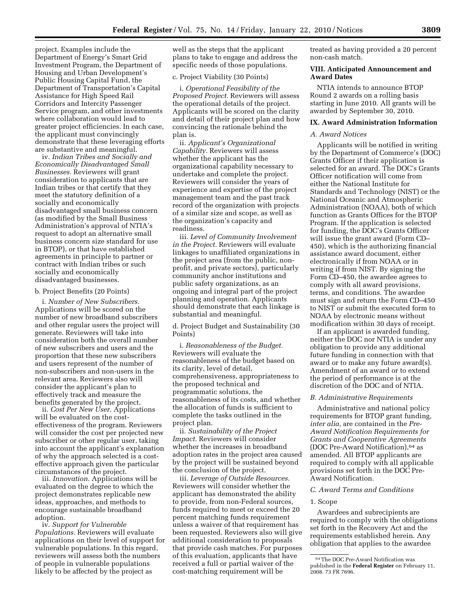project. Examples include the Department of Energy's Smart Grid Investment Program, the Department of Housing and Urban Development's Public Housing Capital Fund, the Department of Transportation's Capital Assistance for High Speed Rail Corridors and Intercity Passenger Service program, and other investments where collaboration would lead to greater project efficiencies. In each case, the applicant must convincingly demonstrate that these leveraging efforts are substantive and meaningful.

iv. *Indian Tribes and Socially and Economically Disadvantaged Small Businesses.* Reviewers will grant consideration to applicants that are Indian tribes or that certify that they meet the statutory definition of a socially and economically disadvantaged small business concern (as modified by the Small Business Administration's approval of NTIA's request to adopt an alternative small business concern size standard for use in BTOP), or that have established agreements in principle to partner or contract with Indian tribes or such socially and economically disadvantaged businesses.

# b. Project Benefits (20 Points)

i. *Number of New Subscribers.*  Applications will be scored on the number of new broadband subscribers and other regular users the project will generate. Reviewers will take into consideration both the overall number of new subscribers and users and the proportion that these new subscribers and users represent of the number of non-subscribers and non-users in the relevant area. Reviewers also will consider the applicant's plan to effectively track and measure the benefits generated by the project.

ii. *Cost Per New User.* Applications will be evaluated on the costeffectiveness of the program. Reviewers will consider the cost per projected new subscriber or other regular user, taking into account the applicant's explanation of why the approach selected is a costeffective approach given the particular circumstances of the project.

iii. *Innovation.* Applications will be evaluated on the degree to which the project demonstrates replicable new ideas, approaches, and methods to encourage sustainable broadband adoption.

iv. *Support for Vulnerable Populations.* Reviewers will evaluate applications on their level of support for vulnerable populations. In this regard, reviewers will assess both the numbers of people in vulnerable populations likely to be affected by the project as

well as the steps that the applicant plans to take to engage and address the specific needs of those populations.

# c. Project Viability (30 Points)

i. *Operational Feasibility of the Proposed Project.* Reviewers will assess the operational details of the project. Applicants will be scored on the clarity and detail of their project plan and how convincing the rationale behind the plan is.

ii. *Applicant's Organizational Capability.* Reviewers will assess whether the applicant has the organizational capability necessary to undertake and complete the project. Reviewers will consider the years of experience and expertise of the project management team and the past track record of the organization with projects of a similar size and scope, as well as the organization's capacity and readiness.

iii. *Level of Community Involvement in the Project.* Reviewers will evaluate linkages to unaffiliated organizations in the project area (from the public, nonprofit, and private sectors), particularly community anchor institutions and public safety organizations, as an ongoing and integral part of the project planning and operation. Applicants should demonstrate that each linkage is substantial and meaningful.

d. Project Budget and Sustainability (30 Points)

i. *Reasonableness of the Budget.*  Reviewers will evaluate the reasonableness of the budget based on its clarity, level of detail, comprehensiveness, appropriateness to the proposed technical and programmatic solutions, the reasonableness of its costs, and whether the allocation of funds is sufficient to complete the tasks outlined in the project plan.

ii. *Sustainability of the Project Impact.* Reviewers will consider whether the increases in broadband adoption rates in the project area caused by the project will be sustained beyond the conclusion of the project.

iii. *Leverage of Outside Resources.*  Reviewers will consider whether the applicant has demonstrated the ability to provide, from non-Federal sources, funds required to meet or exceed the 20 percent matching funds requirement unless a waiver of that requirement has been requested. Reviewers also will give additional consideration to proposals that provide cash matches. For purposes of this evaluation, applicants that have received a full or partial waiver of the cost-matching requirement will be

treated as having provided a 20 percent non-cash match.

#### **VIII. Anticipated Announcement and Award Dates**

NTIA intends to announce BTOP Round 2 awards on a rolling basis starting in June 2010. All grants will be awarded by September 30, 2010.

#### **IX. Award Administration Information**

#### *A. Award Notices*

Applicants will be notified in writing by the Department of Commerce's (DOC) Grants Officer if their application is selected for an award. The DOC's Grants Officer notification will come from either the National Institute for Standards and Technology (NIST) or the National Oceanic and Atmospheric Administration (NOAA), both of which function as Grants Offices for the BTOP Program. If the application is selected for funding, the DOC's Grants Officer will issue the grant award (Form CD– 450), which is the authorizing financial assistance award document, either electronically if from NOAA or in writing if from NIST. By signing the Form CD–450, the awardee agrees to comply with all award provisions, terms, and conditions. The awardee must sign and return the Form CD–450 to NIST or submit the executed form to NOAA by electronic means without modification within 30 days of receipt.

If an applicant is awarded funding, neither the DOC nor NTIA is under any obligation to provide any additional future funding in connection with that award or to make any future award(s). Amendment of an award or to extend the period of performance is at the discretion of the DOC and of NTIA.

# *B. Administrative Requirements*

Administrative and national policy requirements for BTOP grant funding, *inter alia,* are contained in the *Pre-Award Notification Requirements for Grants and Cooperative Agreements*  (DOC Pre-Award Notification),64 as amended. All BTOP applicants are required to comply with all applicable provisions set forth in the DOC Pre-Award Notification.

#### *C. Award Terms and Conditions*

#### 1. Scope

Awardees and subrecipients are required to comply with the obligations set forth in the Recovery Act and the requirements established herein. Any obligation that applies to the awardee

<sup>64</sup>The DOC Pre-Award Notification was published in the **Federal Register** on February 11, 2008. 73 FR 7696.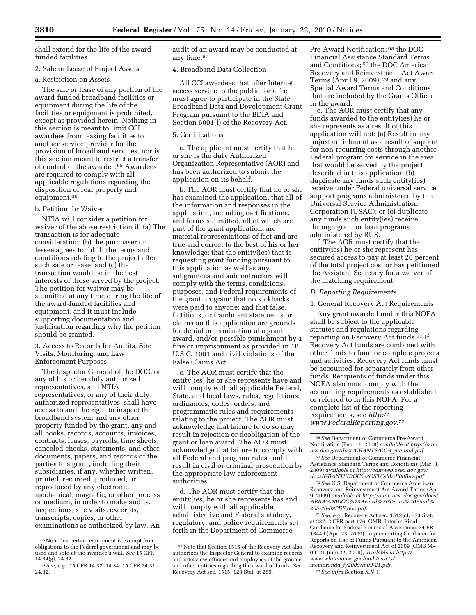shall extend for the life of the awardfunded facilities.

# 2. Sale or Lease of Project Assets

# a. Restriction on Assets

The sale or lease of any portion of the award-funded broadband facilities or equipment during the life of the facilities or equipment is prohibited, except as provided herein. Nothing in this section is meant to limit CCI awardees from leasing facilities to another service provider for the provision of broadband services, nor is this section meant to restrict a transfer of control of the awardee.65 Awardees are required to comply with all applicable regulations regarding the disposition of real property and equipment.66

# b. Petition for Waiver

NTIA will consider a petition for waiver of the above restriction if: (a) The transaction is for adequate consideration; (b) the purchaser or lessee agrees to fulfill the terms and conditions relating to the project after such sale or lease; and (c) the transaction would be in the best interests of those served by the project. The petition for waiver may be submitted at any time during the life of the award-funded facilities and equipment, and it must include supporting documentation and justification regarding why the petition should be granted.

3. Access to Records for Audits, Site Visits, Monitoring, and Law Enforcement Purposes

The Inspector General of the DOC, or any of his or her duly authorized representatives, and NTIA representatives, or any of their duly authorized representatives, shall have access to and the right to inspect the broadband system and any other property funded by the grant, any and all books, records, accounts, invoices, contracts, leases, payrolls, time sheets, canceled checks, statements, and other documents, papers, and records of the parties to a grant, including their subsidiaries, if any, whether written, printed, recorded, produced, or reproduced by any electronic, mechanical, magnetic, or other process or medium, in order to make audits, inspections, site visits, excerpts, transcripts, copies, or other examinations as authorized by law. An audit of an award may be conducted at any time.67

# 4. Broadband Data Collection

All CCI awardees that offer Internet access service to the public for a fee must agree to participate in the State Broadband Data and Development Grant Program pursuant to the BDIA and Section 6001(l) of the Recovery Act.

# 5. Certifications

a. The applicant must certify that he or she is the duly Authorized Organization Representative (AOR) and has been authorized to submit the application on its behalf.

b. The AOR must certify that he or she has examined the application, that all of the information and responses in the application, including certifications, and forms submitted, all of which are part of the grant application, are material representations of fact and are true and correct to the best of his or her knowledge; that the entity(ies) that is requesting grant funding pursuant to this application as well as any subgrantees and subcontractors will comply with the terms, conditions, purposes, and Federal requirements of the grant program; that no kickbacks were paid to anyone; and that false, fictitious, or fraudulent statements or claims on this application are grounds for denial or termination of a grant award, and/or possible punishment by a fine or imprisonment as provided in 18 U.S.C. 1001 and civil violations of the False Claims Act.

c. The AOR must certify that the entity(ies) he or she represents have and will comply with all applicable Federal, State, and local laws, rules, regulations, ordinances, codes, orders, and programmatic rules and requirements relating to the project. The AOR must acknowledge that failure to do so may result in rejection or deobligation of the grant or loan award. The AOR must acknowledge that failure to comply with all Federal and program rules could result in civil or criminal prosecution by the appropriate law enforcement authorities.

d. The AOR must certify that the entity(ies) he or she represents has and will comply with all applicable administrative and Federal statutory, regulatory, and policy requirements set forth in the Department of Commerce

Pre-Award Notification; 68 the DOC Financial Assistance Standard Terms and Conditions; 69 the DOC American Recovery and Reinvestment Act Award Terms (April 9, 2009); 70 and any Special Award Terms and Conditions that are included by the Grants Officer in the award.

e. The AOR must certify that any funds awarded to the entity(ies) he or she represents as a result of this application will not: (a) Result in any unjust enrichment as a result of support for non-recurring costs through another Federal program for service in the area that would be served by the project described in this application; (b) duplicate any funds such entity(ies) receive under Federal universal service support programs administered by the Universal Service Administration Corporation (USAC); or (c) duplicate any funds such entity(ies) receive through grant or loan programs administered by RUS.

f. The AOR must certify that the entity(ies) he or she represent has secured access to pay at least 20 percent of the total project cost or has petitioned the Assistant Secretary for a waiver of the matching requirement.

#### *D. Reporting Requirements*

#### 1. General Recovery Act Requirements

Any grant awarded under this NOFA shall be subject to the applicable statutes and regulations regarding reporting on Recovery Act funds.71 If Recovery Act funds are combined with other funds to fund or complete projects and activities, Recovery Act funds must be accounted for separately from other funds. Recipients of funds under this NOFA also must comply with the accounting requirements as established or referred to in this NOFA. For a complete list of the reporting requirements, see *http:// www.FederalReporting.gov.*72

71*See, e.g.,* Recovery Act sec. 1512(c), 123 Stat. at 287; 2 CFR part 176; OMB, Interim Final Guidance for Federal Financial Assistance, 74 FR 18449 (Apr. 23, 2009); Implementing Guidance for Reports on Use of Funds Pursuant to the American Recovery and Reinvestment Act of 2009 (OMB M– 09–21 June 22, 2009), *available at http:// www.whitehouse.gov/omb/assets/ memoranda*\_*fy2009/m09-21.pdf.*  72*See infra* Section X.V.1.

<sup>&</sup>lt;sup>65</sup> Note that certain equipment is exempt from obligations to the Federal government and may be used and sold at the awardee's will. *See* 15 CFR

<sup>&</sup>lt;sup>66</sup> See, e.g., 15 CFR 14.32-14.34; 15 CFR 24.31-24.32.

 $^{67}\rm{Note}$  that Section 1515 of the Recovery Act also authorizes the Inspector General to examine records and interview officers and employees of the grantee and other entities regarding the award of funds. *See*  Recovery Act sec. 1515, 123 Stat. at 289.

<sup>68</sup>*See* Department of Commerce Pre-Award Notification (Feb. 11, 2008) *available at http://oam. ocs.doc.gov/docs/GRANTS/GCA*\_*manual.pdf.* 

<sup>69</sup>*See* Department of Commerce Financial Assistance Standard Terms and Conditions (Mar. 8, 2009) *available at http://oamweb.osec.doc.gov/ docs/GRANTS/DOC%2OSTCsMAR08Rev.pdf.* 

<sup>70</sup>*See* U.S. Department of Commerce American Recovery and Reinvestment Act Award Terms (Apr. 9, 2009) *available at http://oam..ocs..doc.gov/docs/ ARRA%20DOC%20Award%20Terms%20Final% 205-20-09PDF.doc.pdf.*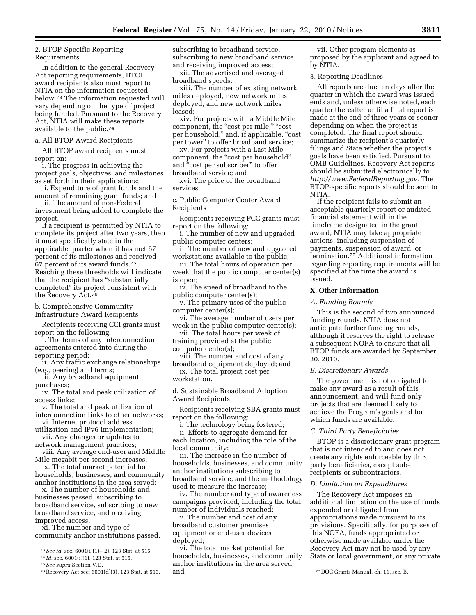2. BTOP-Specific Reporting Requirements

In addition to the general Recovery Act reporting requirements, BTOP award recipients also must report to NTIA on the information requested below.73 The information requested will vary depending on the type of project being funded. Pursuant to the Recovery Act, NTIA will make these reports available to the public.74

a. All BTOP Award Recipients

All BTOP award recipients must report on:

i. The progress in achieving the project goals, objectives, and milestones as set forth in their applications;

ii. Expenditure of grant funds and the amount of remaining grant funds; and

iii. The amount of non-Federal investment being added to complete the project.

If a recipient is permitted by NTIA to complete its project after two years, then it must specifically state in the applicable quarter when it has met 67 percent of its milestones and received 67 percent of its award funds.75 Reaching these thresholds will indicate that the recipient has ''substantially completed'' its project consistent with the Recovery Act.76

b. Comprehensive Community

Infrastructure Award Recipients

Recipients receiving CCI grants must report on the following:

i. The terms of any interconnection agreements entered into during the reporting period;

ii. Any traffic exchange relationships (*e.g.,* peering) and terms;

iii. Any broadband equipment purchases;

iv. The total and peak utilization of access links;

v. The total and peak utilization of interconnection links to other networks;

vi. Internet protocol address utilization and IPv6 implementation;

vii. Any changes or updates to network management practices;

viii. Any average end-user and Middle Mile megabit per second increases;

ix. The total market potential for households, businesses, and community anchor institutions in the area served;

x. The number of households and businesses passed, subscribing to broadband service, subscribing to new broadband service, and receiving improved access;

xi. The number and type of community anchor institutions passed, subscribing to broadband service, subscribing to new broadband service, and receiving improved access;

xii. The advertised and averaged broadband speeds;

xiii. The number of existing network miles deployed, new network miles deployed, and new network miles leased;

xiv. For projects with a Middle Mile component, the "cost per mile," "cost per household," and, if applicable, "cost per tower'' to offer broadband service;

xv. For projects with a Last Mile component, the ''cost per household'' and ''cost per subscriber'' to offer broadband service; and

xvi. The price of the broadband services.

c. Public Computer Center Award Recipients

Recipients receiving PCC grants must report on the following:

i. The number of new and upgraded public computer centers;

ii. The number of new and upgraded workstations available to the public;

iii. The total hours of operation per week that the public computer center(s) is open;

iv. The speed of broadband to the public computer center(s);

v. The primary uses of the public computer center(s);

vi. The average number of users per week in the public computer center(s);

vii. The total hours per week of training provided at the public computer center(s);

viii. The number and cost of any broadband equipment deployed; and

ix. The total project cost per workstation.

d. Sustainable Broadband Adoption Award Recipients

Recipients receiving SBA grants must report on the following:

i. The technology being fostered;

ii. Efforts to aggregate demand for each location, including the role of the local community;

iii. The increase in the number of households, businesses, and community anchor institutions subscribing to broadband service, and the methodology used to measure the increase;

iv. The number and type of awareness campaigns provided, including the total number of individuals reached;

v. The number and cost of any broadband customer premises equipment or end-user devices deployed;

76Recovery Act sec. 6001(d)(3), 123 Stat. at 513. 77 DOC Grants Manual, ch. 11, sec. B. vi. The total market potential for households, businesses, and community anchor institutions in the area served; and

vii. Other program elements as proposed by the applicant and agreed to by NTIA.

# 3. Reporting Deadlines

All reports are due ten days after the quarter in which the award was issued ends and, unless otherwise noted, each quarter thereafter until a final report is made at the end of three years or sooner depending on when the project is completed. The final report should summarize the recipient's quarterly filings and State whether the project's goals have been satisfied. Pursuant to OMB Guidelines, Recovery Act reports should be submitted electronically to *http://www.FederalReporting.gov.* The BTOP-specific reports should be sent to NTIA.

If the recipient fails to submit an acceptable quarterly report or audited financial statement within the timeframe designated in the grant award, NTIA may take appropriate actions, including suspension of payments, suspension of award, or termination.77 Additional information regarding reporting requirements will be specified at the time the award is issued.

# **X. Other Information**

# *A. Funding Rounds*

This is the second of two announced funding rounds. NTIA does not anticipate further funding rounds, although it reserves the right to release a subsequent NOFA to ensure that all BTOP funds are awarded by September 30, 2010.

# *B. Discretionary Awards*

The government is not obligated to make any award as a result of this announcement, and will fund only projects that are deemed likely to achieve the Program's goals and for which funds are available.

# *C. Third Party Beneficiaries*

BTOP is a discretionary grant program that is not intended to and does not create any rights enforceable by third party beneficiaries, except subrecipients or subcontractors.

# *D. Limitation on Expenditures*

The Recovery Act imposes an additional limitation on the use of funds expended or obligated from appropriations made pursuant to its provisions. Specifically, for purposes of this NOFA, funds appropriated or otherwise made available under the Recovery Act may not be used by any State or local government, or any private

<sup>73</sup>*See id.* sec. 6001(i)(1)–(2), 123 Stat. at 515.

<sup>74</sup> *Id.* sec. 6001(i)(1), 123 Stat. at 515.

<sup>75</sup>*See supra* Section V.D.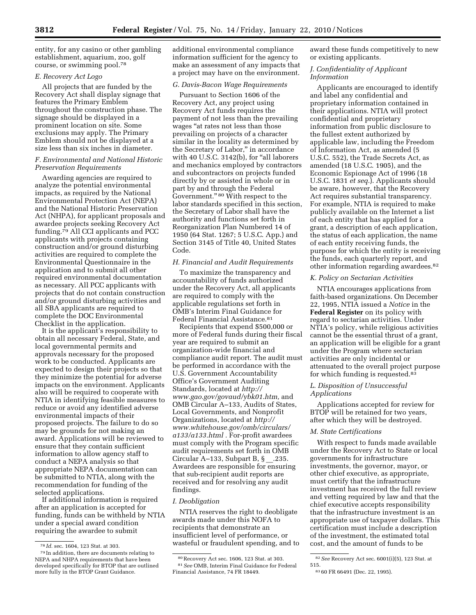entity, for any casino or other gambling establishment, aquarium, zoo, golf course, or swimming pool.78

# *E. Recovery Act Logo*

All projects that are funded by the Recovery Act shall display signage that features the Primary Emblem throughout the construction phase. The signage should be displayed in a prominent location on site. Some exclusions may apply. The Primary Emblem should not be displayed at a size less than six inches in diameter.

# *F. Environmental and National Historic Preservation Requirements*

Awarding agencies are required to analyze the potential environmental impacts, as required by the National Environmental Protection Act (NEPA) and the National Historic Preservation Act (NHPA), for applicant proposals and awardee projects seeking Recovery Act funding.79 All CCI applicants and PCC applicants with projects containing construction and/or ground disturbing activities are required to complete the Environmental Questionnaire in the application and to submit all other required environmental documentation as necessary. All PCC applicants with projects that do not contain construction and/or ground disturbing activities and all SBA applicants are required to complete the DOC Environmental Checklist in the application.

It is the applicant's responsibility to obtain all necessary Federal, State, and local governmental permits and approvals necessary for the proposed work to be conducted. Applicants are expected to design their projects so that they minimize the potential for adverse impacts on the environment. Applicants also will be required to cooperate with NTIA in identifying feasible measures to reduce or avoid any identified adverse environmental impacts of their proposed projects. The failure to do so may be grounds for not making an award. Applications will be reviewed to ensure that they contain sufficient information to allow agency staff to conduct a NEPA analysis so that appropriate NEPA documentation can be submitted to NTIA, along with the recommendation for funding of the selected applications.

If additional information is required after an application is accepted for funding, funds can be withheld by NTIA under a special award condition requiring the awardee to submit

additional environmental compliance information sufficient for the agency to make an assessment of any impacts that a project may have on the environment.

# *G. Davis-Bacon Wage Requirements*

Pursuant to Section 1606 of the Recovery Act, any project using Recovery Act funds requires the payment of not less than the prevailing wages ''at rates not less than those prevailing on projects of a character similar in the locality as determined by the Secretary of Labor," in accordance with 40 U.S.C. 3142(b), for "all laborers and mechanics employed by contractors and subcontractors on projects funded directly by or assisted in whole or in part by and through the Federal Government." 80 With respect to the labor standards specified in this section, the Secretary of Labor shall have the authority and functions set forth in Reorganization Plan Numbered 14 of 1950 (64 Stat. 1267; 5 U.S.C. App.) and Section 3145 of Title 40, United States Code.

# *H. Financial and Audit Requirements*

To maximize the transparency and accountability of funds authorized under the Recovery Act, all applicants are required to comply with the applicable regulations set forth in OMB's Interim Final Guidance for Federal Financial Assistance.<sup>81</sup>

Recipients that expend \$500,000 or more of Federal funds during their fiscal year are required to submit an organization-wide financial and compliance audit report. The audit must be performed in accordance with the U.S. Government Accountability Office's Government Auditing Standards, located at *http:// www.gao.gov/govaud/ybk01.htm,* and OMB Circular A–133, Audits of States, Local Governments, and Nonprofit Organizations, located at *http:// www.whitehouse.gov/omb/circulars/ a133/a133.html .* For-profit awardees must comply with the Program specific audit requirements set forth in OMB Circular A–133, Subpart B, § \_\_.235. Awardees are responsible for ensuring that sub-recipient audit reports are received and for resolving any audit findings.

# *I. Deobligation*

NTIA reserves the right to deobligate awards made under this NOFA to recipients that demonstrate an insufficient level of performance, or wasteful or fraudulent spending, and to award these funds competitively to new or existing applicants.

# *J. Confidentiality of Applicant Information*

Applicants are encouraged to identify and label any confidential and proprietary information contained in their applications. NTIA will protect confidential and proprietary information from public disclosure to the fullest extent authorized by applicable law, including the Freedom of Information Act, as amended (5 U.S.C. 552), the Trade Secrets Act, as amended (18 U.S.C. 1905), and the Economic Espionage Act of 1996 (18 U.S.C. 1831 *et seq.*). Applicants should be aware, however, that the Recovery Act requires substantial transparency. For example, NTIA is required to make publicly available on the Internet a list of each entity that has applied for a grant, a description of each application, the status of each application, the name of each entity receiving funds, the purpose for which the entity is receiving the funds, each quarterly report, and other information regarding awardees.82

# *K. Policy on Sectarian Activities*

NTIA encourages applications from faith-based organizations. On December 22, 1995, NTIA issued a *Notice* in the **Federal Register** on its policy with regard to sectarian activities. Under NTIA's policy, while religious activities cannot be the essential thrust of a grant, an application will be eligible for a grant under the Program where sectarian activities are only incidental or attenuated to the overall project purpose for which funding is requested.83

# *L. Disposition of Unsuccessful Applications*

Applications accepted for review for BTOP will be retained for two years, after which they will be destroyed.

# *M. State Certifications*

With respect to funds made available under the Recovery Act to State or local governments for infrastructure investments, the governor, mayor, or other chief executive, as appropriate, must certify that the infrastructure investment has received the full review and vetting required by law and that the chief executive accepts responsibility that the infrastructure investment is an appropriate use of taxpayer dollars. This certification must include a description of the investment, the estimated total cost, and the amount of funds to be

<sup>78</sup> *Id.* sec. 1604, 123 Stat. at 303.

<sup>79</sup> In addition, there are documents relating to NEPA and NHPA requirements that have been developed specifically for BTOP that are outlined more fully in the BTOP Grant Guidance.

<sup>80</sup>Recovery Act sec. 1606, 123 Stat. at 303. 81*See* OMB, Interim Final Guidance for Federal Financial Assistance, 74 FR 18449.

<sup>82</sup>*See* Recovery Act sec. 6001(i)(5), 123 Stat. at 515.

<sup>83</sup> 60 FR 66491 (Dec. 22, 1995).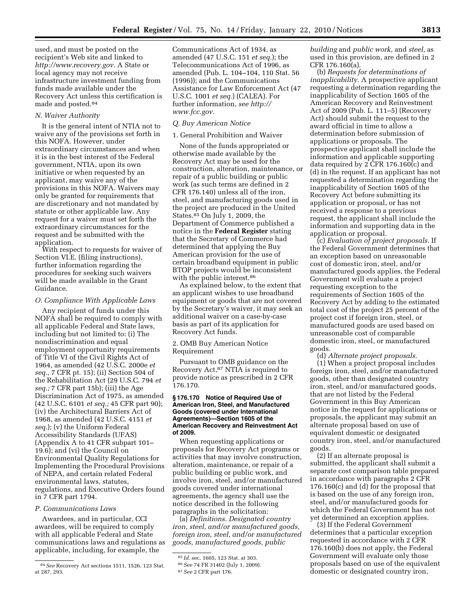used, and must be posted on the recipient's Web site and linked to *http://www.recovery.gov.* A State or local agency may not receive infrastructure investment funding from funds made available under the Recovery Act unless this certification is made and posted.84

#### *N. Waiver Authority*

It is the general intent of NTIA not to waive any of the provisions set forth in this NOFA. However, under extraordinary circumstances and when it is in the best interest of the Federal government, NTIA, upon its own initiative or when requested by an applicant, may waive any of the provisions in this NOFA. Waivers may only be granted for requirements that are discretionary and not mandated by statute or other applicable law. Any request for a waiver must set forth the extraordinary circumstances for the request and be submitted with the application.

With respect to requests for waiver of Section VI.E. (filing instructions), further information regarding the procedures for seeking such waivers will be made available in the Grant Guidance.

#### *O. Compliance With Applicable Laws*

Any recipient of funds under this NOFA shall be required to comply with all applicable Federal and State laws, including but not limited to: (i) The nondiscrimination and equal employment opportunity requirements of Title VI of the Civil Rights Act of 1964, as amended (42 U.S.C. 2000e *et seq.,* 7 CFR pt. 15); (ii) Section 504 of the Rehabilitation Act (29 U.S.C. 794 *et seq.;* 7 CFR part 15b); (iii) the Age Discrimination Act of 1975, as amended (42 U.S.C. 6101 *et seq.;* 45 CFR part 90); (iv) the Architectural Barriers Act of 1968, as amended (42 U.S.C. 4151 *et seq.*); (v) the Uniform Federal Accessibility Standards (UFAS) (Appendix A to 41 CFR subpart 101– 19.6); and (vi) the Council on Environmental Quality Regulations for Implementing the Procedural Provisions of NEPA, and certain related Federal environmental laws, statutes, regulations, and Executive Orders found in 7 CFR part 1794.

#### *P. Communications Laws*

Awardees, and in particular, CCI awardees, will be required to comply with all applicable Federal and State communications laws and regulations as applicable, including, for example, the

Communications Act of 1934, as amended (47 U.S.C. 151 *et seq.*); the Telecommunications Act of 1996, as amended (Pub. L. 104–104, 110 Stat. 56 (1996)); and the Communications Assistance for Law Enforcement Act (47 U.S.C. 1001 *et seq.*) (CALEA). For further information, *see http:// www.fcc.gov.* 

#### *Q. Buy American Notice*

#### 1. General Prohibition and Waiver

None of the funds appropriated or otherwise made available by the Recovery Act may be used for the construction, alteration, maintenance, or repair of a public building or public work (as such terms are defined in 2 CFR 176.140) unless all of the iron, steel, and manufacturing goods used in the project are produced in the United States.<sup>85</sup> On July 1, 2009, the Department of Commerce published a notice in the **Federal Register** stating that the Secretary of Commerce had determined that applying the Buy American provision for the use of certain broadband equipment in public BTOP projects would be inconsistent with the public interest.<sup>86</sup>

As explained below, to the extent that an applicant wishes to use broadband equipment or goods that are not covered by the Secretary's waiver, it may seek an additional waiver on a case-by-case basis as part of its application for Recovery Act funds.

#### 2. OMB Buy American Notice Requirement

Pursuant to OMB guidance on the Recovery Act,87 NTIA is required to provide notice as prescribed in 2 CFR 176.170.

#### **§ 176.170 Notice of Required Use of American Iron, Steel, and Manufactured Goods (covered under International Agreements)—Section 1605 of the American Recovery and Reinvestment Act of 2009.**

When requesting applications or proposals for Recovery Act programs or activities that may involve construction, alteration, maintenance, or repair of a public building or public work, and involve iron, steel, and/or manufactured goods covered under international agreements, the agency shall use the notice described in the following paragraphs in the solicitation:

(a) *Definitions. Designated country iron, steel, and/or manufactured goods, foreign iron, steel, and/or manufactured goods, manufactured goods, public* 

*building* and *public work,* and *steel,* as used in this provision, are defined in 2 CFR 176.160(a).

(b) *Requests for determinations of inapplicability.* A prospective applicant requesting a determination regarding the inapplicability of Section 1605 of the American Recovery and Reinvestment Act of 2009 (Pub. L. 111–5) (Recovery Act) should submit the request to the award official in time to allow a determination before submission of applications or proposals. The prospective applicant shall include the information and applicable supporting data required by 2 CFR 176.160(c) and (d) in the request. If an applicant has not requested a determination regarding the inapplicability of Section 1605 of the Recovery Act before submitting its application or proposal, or has not received a response to a previous request, the applicant shall include the information and supporting data in the application or proposal.

(c) *Evaluation of project proposals.* If the Federal Government determines that an exception based on unreasonable cost of domestic iron, steel, and/or manufactured goods applies, the Federal Government will evaluate a project requesting exception to the requirements of Section 1605 of the Recovery Act by adding to the estimated total cost of the project 25 percent of the project cost if foreign iron, steel, or manufactured goods are used based on unreasonable cost of comparable domestic iron, steel, or manufactured goods.

(d) *Alternate project proposals.* 

(1) When a project proposal includes foreign iron, steel, and/or manufactured goods, other than designated country iron, steel, and/or manufactured goods, that are not listed by the Federal Government in this Buy American notice in the request for applications or proposals, the applicant may submit an alternate proposal based on use of equivalent domestic or designated country iron, steel, and/or manufactured goods.

(2) If an alternate proposal is submitted, the applicant shall submit a separate cost comparison table prepared in accordance with paragraphs 2 CFR 176.160(c) and (d) for the proposal that is based on the use of any foreign iron, steel, and/or manufactured goods for which the Federal Government has not yet determined an exception applies.

(3) If the Federal Government determines that a particular exception requested in accordance with 2 CFR 176.160(b) does not apply, the Federal Government will evaluate only those proposals based on use of the equivalent domestic or designated country iron,

<sup>84</sup>*See* Recovery Act sections 1511, 1526, 123 Stat. at 287, 293.

<sup>85</sup> *Id.* sec. 1605, 123 Stat. at 303.

<sup>86</sup>*See* 74 FR 31402 (July 1, 2009).

<sup>87</sup>*See* 2 CFR part 176.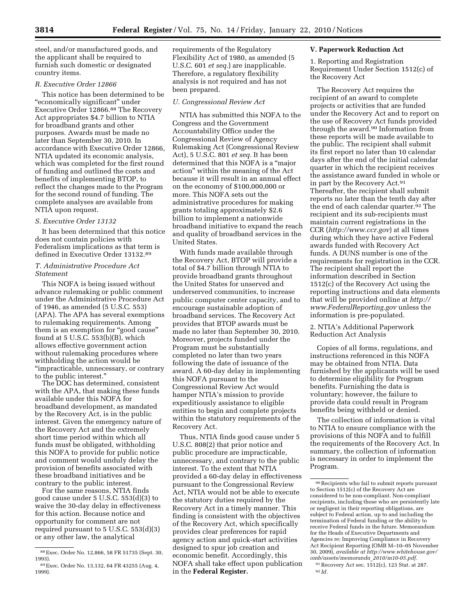steel, and/or manufactured goods, and the applicant shall be required to furnish such domestic or designated country items.

# *R. Executive Order 12866*

This notice has been determined to be "economically significant" under Executive Order 12866.88 The Recovery Act appropriates \$4.7 billion to NTIA for broadband grants and other purposes. Awards must be made no later than September 30, 2010. In accordance with Executive Order 12866, NTIA updated its economic analysis, which was completed for the first round of funding and outlined the costs and benefits of implementing BTOP, to reflect the changes made to the Program for the second round of funding. The complete analyses are available from NTIA upon request.

#### *S. Executive Order 13132*

It has been determined that this notice does not contain policies with Federalism implications as that term is defined in Executive Order 13132.89

#### *T. Administrative Procedure Act Statement*

This NOFA is being issued without advance rulemaking or public comment under the Administrative Procedure Act of 1946, as amended (5 U.S.C. 553) (APA). The APA has several exemptions to rulemaking requirements. Among them is an exemption for "good cause" found at 5 U.S.C. 553(b)(B), which allows effective government action without rulemaking procedures where withholding the action would be ''impracticable, unnecessary, or contrary to the public interest.''

The DOC has determined, consistent with the APA, that making these funds available under this NOFA for broadband development, as mandated by the Recovery Act, is in the public interest. Given the emergency nature of the Recovery Act and the extremely short time period within which all funds must be obligated, withholding this NOFA to provide for public notice and comment would unduly delay the provision of benefits associated with these broadband initiatives and be contrary to the public interest.

For the same reasons, NTIA finds good cause under 5 U.S.C. 553(d)(3) to waive the 30-day delay in effectiveness for this action. Because notice and opportunity for comment are not required pursuant to 5 U.S.C. 553(d)(3) or any other law, the analytical

requirements of the Regulatory Flexibility Act of 1980, as amended (5 U.S.C. 601 *et seq.*) are inapplicable. Therefore, a regulatory flexibility analysis is not required and has not been prepared.

#### *U. Congressional Review Act*

NTIA has submitted this NOFA to the Congress and the Government Accountability Office under the Congressional Review of Agency Rulemaking Act (Congressional Review Act), 5 U.S.C. 801 *et seq.* It has been determined that this NOFA is a ''major action'' within the meaning of the Act because it will result in an annual effect on the economy of \$100,000,000 or more. This NOFA sets out the administrative procedures for making grants totaling approximately \$2.6 billion to implement a nationwide broadband initiative to expand the reach and quality of broadband services in the United States.

With funds made available through the Recovery Act, BTOP will provide a total of \$4.7 billion through NTIA to provide broadband grants throughout the United States for unserved and underserved communities, to increase public computer center capacity, and to encourage sustainable adoption of broadband services. The Recovery Act provides that BTOP awards must be made no later than September 30, 2010. Moreover, projects funded under the Program must be substantially completed no later than two years following the date of issuance of the award. A 60-day delay in implementing this NOFA pursuant to the Congressional Review Act would hamper NTIA's mission to provide expeditiously assistance to eligible entities to begin and complete projects within the statutory requirements of the Recovery Act.

Thus, NTIA finds good cause under 5 U.S.C. 808(2) that prior notice and public procedure are impracticable, unnecessary, and contrary to the public interest. To the extent that NTIA provided a 60-day delay in effectiveness pursuant to the Congressional Review Act, NTIA would not be able to execute the statutory duties required by the Recovery Act in a timely manner. This finding is consistent with the objectives of the Recovery Act, which specifically provides clear preferences for rapid agency action and quick-start activities designed to spur job creation and economic benefit. Accordingly, this NOFA shall take effect upon publication in the **Federal Register.** 

# **V. Paperwork Reduction Act**

1. Reporting and Registration Requirement Under Section 1512(c) of the Recovery Act

The Recovery Act requires the recipient of an award to complete projects or activities that are funded under the Recovery Act and to report on the use of Recovery Act funds provided through the award.90 Information from these reports will be made available to the public. The recipient shall submit its first report no later than 10 calendar days after the end of the initial calendar quarter in which the recipient receives the assistance award funded in whole or in part by the Recovery Act.91 Thereafter, the recipient shall submit reports no later than the tenth day after the end of each calendar quarter.92 The recipient and its sub-recipients must maintain current registrations in the CCR (*http://www.ccr.gov*) at all times during which they have active Federal awards funded with Recovery Act funds. A DUNS number is one of the requirements for registration in the CCR. The recipient shall report the information described in Section 1512(c) of the Recovery Act using the reporting instructions and data elements that will be provided online at *http:// www.FederalReporting.gov* unless the information is pre-populated.

2. NTIA's Additional Paperwork Reduction Act Analysis

Copies of all forms, regulations, and instructions referenced in this NOFA may be obtained from NTIA. Data furnished by the applicants will be used to determine eligibility for Program benefits. Furnishing the data is voluntary; however, the failure to provide data could result in Program benefits being withheld or denied.

The collection of information is vital to NTIA to ensure compliance with the provisions of this NOFA and to fulfill the requirements of the Recovery Act. In summary, the collection of information is necessary in order to implement the Program.

<sup>88</sup>Exec. Order No. 12,866, 58 FR 51735 (Sept. 30, 1993).

<sup>89</sup>Exec. Order No. 13,132, 64 FR 43255 (Aug. 4, 1999).

<sup>90</sup>Recipients who fail to submit reports pursuant to Section 1512(c) of the Recovery Act are considered to be non-compliant. Non-compliant recipients, including those who are persistently late or negligent in their reporting obligations, are subject to Federal action, up to and including the termination of Federal funding or the ability to receive Federal funds in the future. Memorandum for the Heads of Executive Departments and Agencies re: Improving Compliance in Recovery Act Recipient Reporting (OMB M–10–05 November 30, 2009), *available at http://www.whitehouse.gov/ omb/assets/memoranda*\_*2010/m10-05.pdf*.

<sup>91</sup>Recovery Act sec. 1512(c), 123 Stat. at 287. 92 *Id.*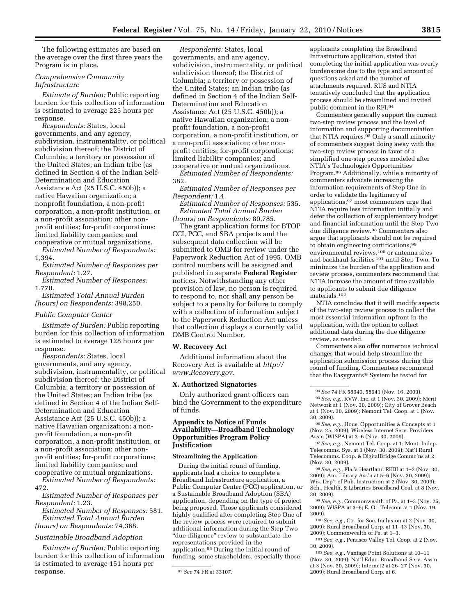The following estimates are based on the average over the first three years the Program is in place.

# *Comprehensive Community Infrastructure*

*Estimate of Burden:* Public reporting burden for this collection of information is estimated to average 225 hours per response.

*Respondents:* States, local governments, and any agency, subdivision, instrumentality, or political subdivision thereof; the District of Columbia; a territory or possession of the United States; an Indian tribe (as defined in Section 4 of the Indian Self-Determination and Education Assistance Act (25 U.S.C. 450b)); a native Hawaiian organization; a nonprofit foundation, a non-profit corporation, a non-profit institution, or a non-profit association; other nonprofit entities; for-profit corporations; limited liability companies; and cooperative or mutual organizations.

*Estimated Number of Respondents:*  1,394.

*Estimated Number of Responses per Respondent:* 1.27.

*Estimated Number of Responses:*  1,770.

*Estimated Total Annual Burden (hours) on Respondents:* 398,250.

# *Public Computer Center*

*Estimate of Burden:* Public reporting burden for this collection of information is estimated to average 128 hours per response.

*Respondents:* States, local governments, and any agency, subdivision, instrumentality, or political subdivision thereof; the District of Columbia; a territory or possession of the United States; an Indian tribe (as defined in Section 4 of the Indian Self-Determination and Education Assistance Act (25 U.S.C. 450b)); a native Hawaiian organization; a nonprofit foundation, a non-profit corporation, a non-profit institution, or a non-profit association; other nonprofit entities; for-profit corporations; limited liability companies; and cooperative or mutual organizations.

*Estimated Number of Respondents:*  472.

*Estimated Number of Responses per Respondent:* 1.23.

*Estimated Number of Responses:* 581. *Estimated Total Annual Burden (hours) on Respondents:* 74,368.

# *Sustainable Broadband Adoption*

*Estimate of Burden:* Public reporting burden for this collection of information is estimated to average 151 hours per response.

*Respondents:* States, local governments, and any agency, subdivision, instrumentality, or political subdivision thereof; the District of Columbia; a territory or possession of the United States; an Indian tribe (as defined in Section 4 of the Indian Self-Determination and Education Assistance Act (25 U.S.C. 450b)); a native Hawaiian organization; a nonprofit foundation, a non-profit corporation, a non-profit institution, or a non-profit association; other nonprofit entities; for-profit corporations; limited liability companies; and cooperative or mutual organizations.

*Estimated Number of Respondents:*  382.

*Estimated Number of Responses per Respondent:* 1.4.

*Estimated Number of Responses:* 535. *Estimated Total Annual Burden (hours) on Respondents:* 80,785.

The grant application forms for BTOP CCI, PCC, and SBA projects and the subsequent data collection will be submitted to OMB for review under the Paperwork Reduction Act of 1995. OMB control numbers will be assigned and published in separate **Federal Register**  notices. Notwithstanding any other provision of law, no person is required to respond to, nor shall any person be subject to a penalty for failure to comply with a collection of information subject to the Paperwork Reduction Act unless that collection displays a currently valid OMB Control Number.

#### **W. Recovery Act**

Additional information about the Recovery Act is available at *http:// www.Recovery.gov*.

# **X. Authorized Signatories**

Only authorized grant officers can bind the Government to the expenditure of funds.

# **Appendix to Notice of Funds Availability—Broadband Technology Opportunities Program Policy Justification**

#### **Streamlining the Application**

During the initial round of funding, applicants had a choice to complete a Broadband Infrastructure application, a Public Computer Center (PCC) application, or a Sustainable Broadband Adoption (SBA) application, depending on the type of project being proposed. Those applicants considered highly qualified after completing Step One of the review process were required to submit additional information during the Step Two "due diligence" review to substantiate the representations provided in the application.<sup>93</sup> During the initial round of funding, some stakeholders, especially those

applicants completing the Broadband Infrastructure application, stated that completing the initial application was overly burdensome due to the type and amount of questions asked and the number of attachments required. RUS and NTIA tentatively concluded that the application process should be streamlined and invited public comment in the RFI.94

Commenters generally support the current two-step review process and the level of information and supporting documentation that NTIA requires.95 Only a small minority of commenters suggest doing away with the two-step review process in favor of a simplified one-step process modeled after NTIA's Technologies Opportunities Program.96 Additionally, while a minority of commenters advocate increasing the information requirements of Step One in order to validate the legitimacy of applications,97 most commenters urge that NTIA require less information initially and defer the collection of supplementary budget and financial information until the Step Two due diligence review.98 Commenters also argue that applicants should not be required to obtain engineering certifications, 99 environmental reviews,100 or antenna sites and backhaul facilities 101 until Step Two. To minimize the burden of the application and review process, commenters recommend that NTIA increase the amount of time available to applicants to submit due diligence materials.102

NTIA concludes that it will modify aspects of the two-step review process to collect the most essential information upfront in the application, with the option to collect additional data during the due diligence review, as needed.

Commenters also offer numerous technical changes that would help streamline the application submission process during this round of funding. Commenters recommend that the Easygrants® System be tested for

96*See, e.g.*, Hous. Opportunities & Concepts at 1 (Nov. 25, 2009); Wireless Internet Serv. Providers Ass'n (WISPA) at 3–6 (Nov. 30, 2009).

97*See, e.g.*, Nemont Tel. Coop. at 1; Mont. Indep. Telecomms. Sys. at 3 (Nov. 30, 2009); Nat'l Rural Telecomms. Coop. & DigitalBridge Commc'ns at 2 (Nov. 30, 2009).

98*See, e.g.*, Fla.'s Heartland REDI at 1–2 (Nov. 30, 2009); Am. Library Ass'n at 5–6 (Nov. 30, 2009); Wis. Dep't of Pub. Instruction at 2 (Nov. 30, 2009); Sch., Health, & Libraries Broadband Coal. at 8 (Nov. 30, 2009).

99*See, e.g.*, Commonwealth of Pa. at 1–3 (Nov. 25, 2009); WISPA at 3–6; E. Or. Telecom at 1 (Nov. 19, 2009).

100*See, e.g.*, Ctr. for Soc. Inclusion at 2 (Nov. 30, 2009); Rural Broadband Corp. at 11–13 (Nov. 30, 2009); Commonwealth of Pa. at 1–3.

101*See, e.g.*, Penasco Valley Tel. Coop. at 2 (Nov. 30, 2009).

102*See, e.g.*, Vantage Point Solutions at 10–11 (Nov. 30, 2009); Nat'l Educ. Broadband Serv. Ass'n at 3 (Nov. 30, 2009); Internet2 at 26–27 (Nov. 30, 2009); Rural Broadband Corp. at 6.

<sup>93</sup>*See* 74 FR at 33107.

<sup>94</sup>*See* 74 FR 58940, 58941 (Nov. 16, 2009).

<sup>95</sup>*See, e.g.*, RVW, Inc. at 1 (Nov. 30, 2009); Merit Network at 1 (Nov. 30, 2009); City of Grover Beach at 1 (Nov. 30, 2009); Nemont Tel. Coop. at 1 (Nov. 30, 2009).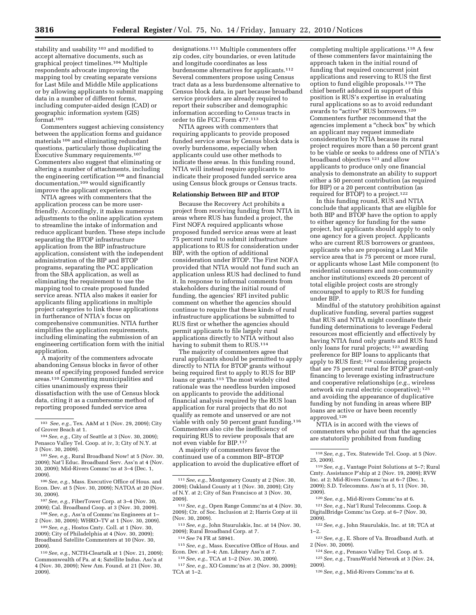stability and usability <sup>103</sup> and modified to accept alternative documents, such as graphical project timelines.104 Multiple respondents advocate improving the mapping tool by creating separate versions for Last Mile and Middle Mile applications or by allowing applicants to submit mapping data in a number of different forms, including computer-aided design (CAD) or geographic information system (GIS) format.105

Commenters suggest achieving consistency between the application forms and guidance materials 106 and eliminating redundant questions, particularly those duplicating the Executive Summary requirements.107 Commenters also suggest that eliminating or altering a number of attachments, including the engineering certification 108 and financial documentation,109 would significantly improve the applicant experience.

NTIA agrees with commenters that the application process can be more userfriendly. Accordingly, it makes numerous adjustments to the online application system to streamline the intake of information and reduce applicant burden. These steps include separating the BTOP infrastructure application from the BIP infrastructure application, consistent with the independent administration of the BIP and BTOP programs, separating the PCC application from the SBA application, as well as eliminating the requirement to use the mapping tool to create proposed funded service areas. NTIA also makes it easier for applicants filing applications in multiple project categories to link these applications in furtherance of NTIA's focus on comprehensive communities. NTIA further simplifies the application requirements, including eliminating the submission of an engineering certification form with the initial application.

A majority of the commenters advocate abandoning Census blocks in favor of other means of specifying proposed funded service areas.110 Commenting municipalities and cities unanimously express their dissatisfaction with the use of Census block data, citing it as a cumbersome method of reporting proposed funded service area

106*See, e.g.*, Mass. Executive Office of Hous. and Econ. Dev. at 5 (Nov. 30, 2009); NATOA at 20 (Nov. 30, 2009).

107*See, e.g.*, FiberTower Corp. at 3–4 (Nov. 30, 2009); Cal. Broadband Coop. at 3 (Nov. 30, 2009).

108*See, e.g.*, Ass'n of Commc'ns Engineers at 1– 2 (Nov. 30, 2009); WHRO–TV at 1 (Nov. 30, 2009).

109*See, e.g.*, Hostos Cmty. Coll. at 1 (Nov. 30, 2009); City of Philadelphia at 4 (Nov. 30, 2009); Broadband Satellite Commenters at 10 (Nov. 30, 2009).

110*See, e.g.*, NCTH-Cleartalk at 1 (Nov. 21, 2009); Commonwealth of Pa. at 4; Satellite Indus. Ass'n at 4 (Nov. 30, 2009); New Am. Found. at 21 (Nov. 30, 2009).

designations.111 Multiple commenters offer zip codes, city boundaries, or even latitude and longitude coordinates as less burdensome alternatives for applicants.<sup>112</sup> Several commenters propose using Census tract data as a less burdensome alternative to Census block data, in part because broadband service providers are already required to report their subscriber and demographic information according to Census tracts in order to file FCC Form 477.113

NTIA agrees with commenters that requiring applicants to provide proposed funded service areas by Census block data is overly burdensome, especially when applicants could use other methods to indicate these areas. In this funding round, NTIA will instead require applicants to indicate their proposed funded service area using Census block groups or Census tracts.

#### **Relationship Between BIP and BTOP**

Because the Recovery Act prohibits a project from receiving funding from NTIA in areas where RUS has funded a project, the First NOFA required applicants whose proposed funded service areas were at least 75 percent rural to submit infrastructure applications to RUS for consideration under BIP, with the option of additional consideration under BTOP. The First NOFA provided that NTIA would not fund such an application unless RUS had declined to fund it. In response to informal comments from stakeholders during the initial round of funding, the agencies' RFI invited public comment on whether the agencies should continue to require that these kinds of rural infrastructure applications be submitted to RUS first or whether the agencies should permit applicants to file largely rural applications directly to NTIA without also having to submit them to RUS.<sup>114</sup>

The majority of commenters agree that rural applicants should be permitted to apply directly to NTIA for BTOP grants without being required first to apply to RUS for BIP loans or grants.<sup>115</sup> The most widely cited rationale was the needless burden imposed on applicants to provide the additional financial analysis required by the RUS loan application for rural projects that do not qualify as remote and unserved or are not viable with only 50 percent grant funding.116 Commenters also cite the inefficiency of requiring RUS to review proposals that are not even viable for BIP.<sup>11</sup>

A majority of commenters favor the continued use of a common BIP–BTOP application to avoid the duplicative effort of

113*See, e.g.*, John Staurulakis, Inc. at 14 (Nov. 30, 2009); Rural Broadband Corp. at 7.

115*See, e.g.*, Mass. Executive Office of Hous. and Econ. Dev. at 3–4; Am. Library Ass'n at 7.

116*See, e.g.*, TCA at 1–2 (Nov. 30, 2009).

117*See, e.g.*, XO Commc'ns at 2 (Nov. 30, 2009); TCA at 1–2.

completing multiple applications.118 A few of these commenters favor maintaining the approach taken in the initial round of funding that required concurrent joint applications and reserving to RUS the first option to fund eligible proposals.119 The chief benefit adduced in support of this position is RUS's expertise in evaluating rural applications so as to avoid redundant awards to "active" RUS borrowers.<sup>120</sup> Commenters further recommend that the agencies implement a ''check box'' by which an applicant may request immediate consideration by NTIA because its rural project requires more than a 50 percent grant to be viable or seeks to address one of NTIA's broadband objectives 121 and allow applicants to produce only one financial analysis to demonstrate an ability to support either a 50 percent contribution (as required for BIP) or a 20 percent contribution (as required for BTOP) to a project.122

In this funding round, RUS and NTIA conclude that applicants that are eligible for both BIP and BTOP have the option to apply to either agency for funding for the same project, but applicants should apply to only one agency for a given project. Applicants who are current RUS borrowers or grantees, applicants who are proposing a Last Mile service area that is 75 percent or more rural, or applicants whose Last Mile component (to residential consumers and non-community anchor institutions) exceeds 20 percent of total eligible project costs are strongly encouraged to apply to RUS for funding under BIP.

Mindful of the statutory prohibition against duplicative funding, several parties suggest that RUS and NTIA might coordinate their funding determinations to leverage Federal resources most efficiently and effectively by having NTIA fund only grants and RUS fund only loans for rural projects; 123 awarding preference for BIP loans to applicants that apply to RUS first; 124 considering projects that are 75 percent rural for BTOP grant-only financing to leverage existing infrastructure and cooperative relationships (*e.g.*, wireless network *via* rural electric cooperative); 125 and avoiding the appearance of duplicative funding by not funding in areas where BIP loans are active or have been recently approved.126

NTIA is in accord with the views of commenters who point out that the agencies are statutorily prohibited from funding

119*See, e.g.*, Vantage Point Solutions at 5–7; Rural Cmty. Assistance P'ship at 2 (Nov. 19, 2009); RVW Inc. at 2; Mid-Rivers Commc'ns at 6–7 (Dec. 1, 2009); S.D. Telecomms. Ass'n at 5, 11 (Nov. 30, 2009).

- 120*See, e.g.*, Mid-Rivers Commc'ns at 6. 121*See, e.g.*, Nat'l Rural Telecomms. Coop. & DigitalBridge Commc'ns Corp. at 6–7 (Nov. 30, 2009).
- 122*See, e.g.*, John Staurulakis, Inc. at 18; TCA at  $1 - 2$ .
- 123*See, e.g.*, E. Shore of Va. Broadband Auth. at 2 (Nov. 30, 2009).

124*See, e.g.*, Penasco Valley Tel. Coop. at 5.

125*See, e.g.*, TransWorld Network at 3 (Nov. 24, 2009).

126*See, e.g.*, Mid-Rivers Commc'ns at 6.

<sup>103</sup> *See, e.g.*, Tex. A&M at 1 (Nov. 29, 2009); City of Grover Beach at 1.

<sup>104</sup>*See, e.g.*, City of Seattle at 3 (Nov. 30, 2009); Penasco Valley Tel. Coop. at iv, 3; City of N.Y. at 3 (Nov. 30, 2009).

<sup>105</sup>*See, e.g.*, Rural Broadband Now! at 5 (Nov. 30, 2009); Nat'l Educ. Broadband Serv. Ass'n at 4 (Nov. 30, 2009); Mid-Rivers Commc'ns at 3–4 (Dec. 1, 2009).

<sup>111</sup>*See, e.g.*, Montgomery County at 2 (Nov. 30, 2009); Oakland County at 1 (Nov. 30, 2009); City of N.Y. at 2; City of San Francisco at 3 (Nov. 30, 2009).

<sup>112</sup>*See, e.g.*, Open Range Commc'ns at 4 (Nov. 30, 2009); Ctr. of Soc. Inclusion at 2; Harris Corp at iii (Nov. 30, 2009).

<sup>114</sup>*See* 74 FR at 58941.

<sup>118</sup>*See, e.g.*, Tex. Statewide Tel. Coop. at 5 (Nov. 25, 2009).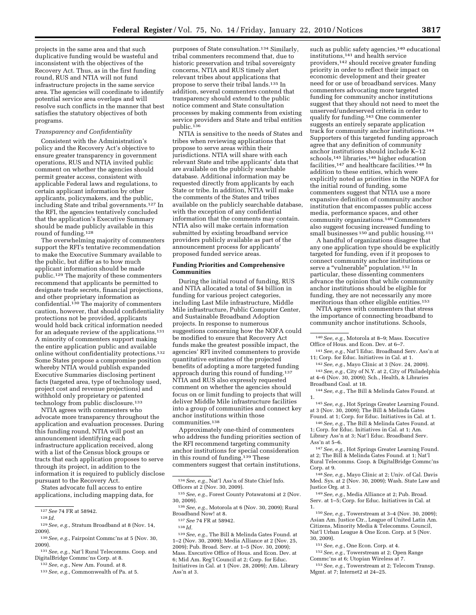projects in the same area and that such duplicative funding would be wasteful and inconsistent with the objectives of the Recovery Act. Thus, as in the first funding round, RUS and NTIA will not fund infrastructure projects in the same service area. The agencies will coordinate to identify potential service area overlaps and will resolve such conflicts in the manner that best satisfies the statutory objectives of both programs.

#### *Transparency and Confidentiality*

Consistent with the Administration's policy and the Recovery Act's objective to ensure greater transparency in government operations, RUS and NTIA invited public comment on whether the agencies should permit greater access, consistent with applicable Federal laws and regulations, to certain applicant information by other applicants, policymakers, and the public, including State and tribal governments.127 In the RFI, the agencies tentatively concluded that the application's Executive Summary should be made publicly available in this round of funding.128

The overwhelming majority of commenters support the RFI's tentative recommendation to make the Executive Summary available to the public, but differ as to how much applicant information should be made public.129 The majority of these commenters recommend that applicants be permitted to designate trade secrets, financial projections, and other proprietary information as confidential.130 The majority of commenters caution, however, that should confidentiality protections not be provided, applicants would hold back critical information needed for an adequate review of the applications.<sup>131</sup> A minority of commenters support making the entire application public and available online without confidentiality protections.132 Some States propose a compromise position whereby NTIA would publish expanded Executive Summaries disclosing pertinent facts (targeted area, type of technology used, project cost and revenue projections) and withhold only proprietary or patented technology from public disclosure.133

NTIA agrees with commenters who advocate more transparency throughout the application and evaluation processes. During this funding round, NTIA will post an announcement identifying each infrastructure application received, along with a list of the Census block groups or tracts that each application proposes to serve through its project, in addition to the information it is required to publicly disclose pursuant to the Recovery Act.

States advocate full access to entire applications, including mapping data, for

130*See, e.g.*, Fairpoint Commc'ns at 5 (Nov. 30, 2009).

131*See, e.g.*, Nat'l Rural Telecomms. Coop. and DigitalBridge Commc'ns Corp. at 8.

132*See, e.g.*, New Am. Found. at 8.

133*See, e.g.*, Commonwealth of Pa. at 5.

purposes of State consultation.134 Similarly, tribal commenters recommend that, due to historic preservation and tribal sovereignty concerns, NTIA and RUS timely alert relevant tribes about applications that propose to serve their tribal lands.135 In addition, several commenters contend that transparency should extend to the public notice comment and State consultation processes by making comments from existing service providers and State and tribal entities public.136

NTIA is sensitive to the needs of States and tribes when reviewing applications that propose to serve areas within their jurisdictions. NTIA will share with each relevant State and tribe applicants' data that are available on the publicly searchable database. Additional information may be requested directly from applicants by each State or tribe. In addition, NTIA will make the comments of the States and tribes available on the publicly searchable database, with the exception of any confidential information that the comments may contain. NTIA also will make certain information submitted by existing broadband service providers publicly available as part of the announcement process for applicants' proposed funded service areas.

#### **Funding Priorities and Comprehensive Communities**

During the initial round of funding, RUS and NTIA allocated a total of \$4 billion in funding for various project categories, including Last Mile infrastructure, Middle Mile infrastructure, Public Computer Center, and Sustainable Broadband Adoption projects. In response to numerous suggestions concerning how the NOFA could be modified to ensure that Recovery Act funds make the greatest possible impact, the agencies' RFI invited commenters to provide quantitative estimates of the projected benefits of adopting a more targeted funding approach during this round of funding.137 NTIA and RUS also expressly requested comment on whether the agencies should focus on or limit funding to projects that will deliver Middle Mile infrastructure facilities into a group of communities and connect key anchor institutions within those communities.138

Approximately one-third of commenters who address the funding priorities section of the RFI recommend targeting community anchor institutions for special consideration in this round of funding.139 These commenters suggest that certain institutions,

139*See, e.g.*, The Bill & Melinda Gates Found. at 1–2 (Nov. 30, 2009); Media Alliance at 2 (Nov. 25, 2009); Pub. Broad. Serv. at 1–5 (Nov. 30, 2009); Mass. Executive Office of Hous. and Econ. Dev. at 6; Mid Am. Reg'l Council at 2; Corp. for Educ. Initiatives in Cal. at 1 (Nov. 28, 2009); Am. Library Ass'n at 3.

such as public safety agencies,<sup>140</sup> educational institutions,141 and health service providers,142 should receive greater funding priority in order to reflect their impact on economic development and their greater need for or use of broadband services. Many commenters advocating more targeted funding for community anchor institutions suggest that they should not need to meet the unserved/underserved criteria in order to qualify for funding.143 One commenter suggests an entirely separate application track for community anchor institutions.144 Supporters of this targeted funding approach agree that any definition of community anchor institutions should include K–12 schools,145 libraries,146 higher education facilities,147 and healthcare facilities.148 In addition to these entities, which were explicitly noted as priorities in the NOFA for the initial round of funding, some commenters suggest that NTIA use a more expansive definition of community anchor institution that encompasses public access media, performance spaces, and other community organizations.149 Commenters also suggest focusing increased funding to small businesses<sup>150</sup> and public housing.<sup>151</sup>

A handful of organizations disagree that any one application type should be explicitly targeted for funding, even if it proposes to connect community anchor institutions or serve a "vulnerable" population.<sup>152</sup> In particular, these dissenting commenters advance the opinion that while community anchor institutions should be eligible for funding, they are not necessarily any more meritorious than other eligible entities.153

NTIA agrees with commenters that stress the importance of connecting broadband to community anchor institutions. Schools,

Broadband Coal. at 18.

144*See, e.g.*, The Bill & Melinda Gates Found. at 1.

145*See, e.g.*, Hot Springs Greater Learning Found. at 3 (Nov. 30, 2009); The Bill & Melinda Gates Found. at 1; Corp. for Educ. Initiatives in Cal. at 1.

146*See, e.g.*, The Bill & Melinda Gates Found. at 1; Corp. for Educ. Initiatives in Cal. at 1; Am. Library Ass'n at 3; Nat'l Educ. Broadband Serv. Ass'n at 5–6.

147*See, e.g.*, Hot Springs Greater Learning Found. at 2; The Bill & Melinda Gates Found. at 1; Nat'l Rural Telecomms. Coop. & DigitalBridge Commc'ns Corp. at 9.

148*See, e.g.*, Mayo Clinic at 2; Univ. of Cal. Davis Med. Sys. at 2 (Nov. 30, 2009); Wash. State Law and Justice Org. at 3.

149*See, e.g.*, Media Alliance at 2; Pub. Broad. Serv. at 1–5; Corp. for Educ. Initiatives in Cal. at 1.

150*See, e.g.*, Towerstream at 3–4 (Nov. 30, 2009); Asian Am. Justice Ctr., League of United Latin Am. Citizens, Minority Media & Telecomms. Council, Nat'l Urban League & One Econ. Corp. at 5 (Nov. 30, 2009).

151*See, e.g.*, One Econ. Corp. at 4.

152*See, e.g.*, Towerstream at 2; Open Range Commc'ns at 6; Utopian Wireless at 7.

153*See, e.g.*, Towerstream at 2; Telecom Transp. Mgmt. at 7; Internet2 at 24–25.

<sup>127</sup>*See* 74 FR at 58942.

<sup>128</sup> *Id.* 

<sup>129</sup>*See, e.g.*, Stratum Broadband at 8 (Nov. 14, 2009).

<sup>134</sup>*See, e.g.*, Nat'l Ass'n of State Chief Info. Officers at 2 (Nov. 30, 2009).

<sup>135</sup>*See, e.g.*, Forest County Potawatomi at 2 (Nov. 30, 2009).

<sup>136</sup>*See, e.g.*, Motorola at 6 (Nov. 30, 2009); Rural

Broadband Now! at 8. 137*See* 74 FR at 58942.

<sup>138</sup> *Id.* 

<sup>140</sup>*See, e.g.*, Motorola at 8–9; Mass. Executive Office of Hous. and Econ. Dev. at 6–7.

<sup>141</sup>*See, e.g.*, Nat'l Educ. Broadband Serv. Ass'n at 11; Corp. for Educ. Initiatives in Cal. at 1.

<sup>142</sup>*See, e.g.*, Mayo Clinic at 3 (Nov. 24, 2009). 143*See, e.g.*, City of N.Y. at 2, City of Philadelphia at 4–6 (Nov. 30, 2009); Sch., Health, & Libraries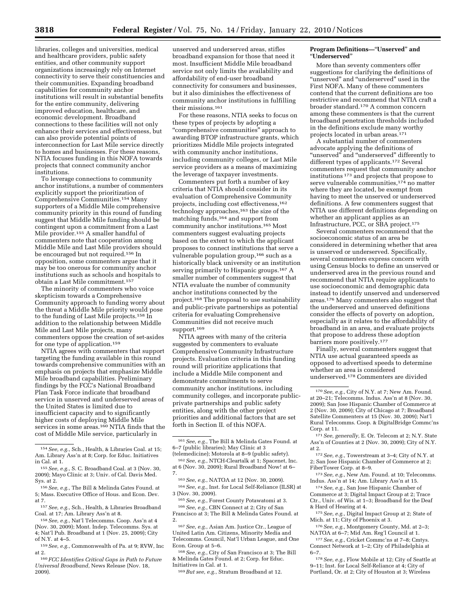libraries, colleges and universities, medical and healthcare providers, public safety entities, and other community support organizations increasingly rely on Internet connectivity to serve their constituencies and their communities. Expanding broadband capabilities for community anchor institutions will result in substantial benefits for the entire community, delivering improved education, healthcare, and economic development. Broadband connections to these facilities will not only enhance their services and effectiveness, but can also provide potential points of interconnection for Last Mile service directly to homes and businesses. For these reasons, NTIA focuses funding in this NOFA towards projects that connect community anchor institutions.

To leverage connections to community anchor institutions, a number of commenters explicitly support the prioritization of Comprehensive Communities.154 Many supporters of a Middle Mile comprehensive community priority in this round of funding suggest that Middle Mile funding should be contingent upon a commitment from a Last Mile provider.155 A smaller handful of commenters note that cooperation among Middle Mile and Last Mile providers should be encouraged but not required.156 In opposition, some commenters argue that it may be too onerous for community anchor institutions such as schools and hospitals to obtain a Last Mile commitment.157

The minority of commenters who voice skepticism towards a Comprehensive Community approach to funding worry about the threat a Middle Mile priority would pose to the funding of Last Mile projects.158 In addition to the relationship between Middle Mile and Last Mile projects, many commenters oppose the creation of set-asides for one type of application.159

NTIA agrees with commenters that support targeting the funding available in this round towards comprehensive communities with an emphasis on projects that emphasize Middle Mile broadband capabilities. Preliminary findings by the FCC's National Broadband Plan Task Force indicate that broadband service in unserved and underserved areas of the United States is limited due to insufficient capacity and to significantly higher costs of deploying Middle Mile services in some areas.<sup>160</sup> NTIA finds that the cost of Middle Mile service, particularly in

unserved and underserved areas, stifles broadband expansion for those that need it most. Insufficient Middle Mile broadband service not only limits the availability and affordability of end-user broadband connectivity for consumers and businesses, but it also diminishes the effectiveness of community anchor institutions in fulfilling their missions.161

For these reasons, NTIA seeks to focus on these types of projects by adopting a ''comprehensive communities'' approach to awarding BTOP infrastructure grants, which prioritizes Middle Mile projects integrated with community anchor institutions, including community colleges, or Last Mile service providers as a means of maximizing the leverage of taxpayer investments.

Commenters put forth a number of key criteria that NTIA should consider in its evaluation of Comprehensive Community projects, including cost effectiveness,162 technology approaches,163 the size of the matching funds,164 and support from community anchor institutions.165 Most commenters suggest evaluating projects based on the extent to which the applicant proposes to connect institutions that serve a vulnerable population group,<sup>166</sup> such as a historically black university or an institution serving primarily to Hispanic groups.167 A smaller number of commenters suggest that NTIA evaluate the number of community anchor institutions connected by the project.168 The proposal to use sustainability and public-private partnerships as potential criteria for evaluating Comprehensive Communities did not receive much support.<sup>169</sup>

NTIA agrees with many of the criteria suggested by commenters to evaluate Comprehensive Community Infrastructure projects. Evaluation criteria in this funding round will prioritize applications that include a Middle Mile component and demonstrate commitments to serve community anchor institutions, including community colleges, and incorporate publicprivate partnerships and public safety entities, along with the other project priorities and additional factors that are set forth in Section II. of this NOFA.

165*See, e.g.*, Forest County Potawatomi at 3.

166*See, e.g.*, CBN Connect at 2; City of San Francisco at 3; The Bill & Melinda Gates Found. at 2.

167*See, e.g.*, Asian Am. Justice Ctr., League of United Latin Am. Citizens, Minority Media and Telecomms. Council, Nat'l Urban League, and One Econ. Group at 5–6.

168*See, e.g.*, City of San Francisco at 3; The Bill & Melinda Gates Found. at 2; Corp. for Educ. Initiatives in Cal. at 1.

#### **Program Definitions—**''**Unserved**'' **and**  ''**Underserved**''

More than seventy commenters offer suggestions for clarifying the definitions of ''unserved'' and ''underserved'' used in the First NOFA. Many of these commenters contend that the current definitions are too restrictive and recommend that NTIA craft a broader standard.170 A common concern among these commenters is that the current broadband penetration thresholds included in the definitions exclude many worthy projects located in urban areas.171

A substantial number of commenters advocate applying the definitions of ''unserved'' and ''underserved'' differently to different types of applicants.172 Several commenters request that community anchor institutions 173 and projects that propose to serve vulnerable communities,174 no matter where they are located, be exempt from having to meet the unserved or underserved definitions. A few commenters suggest that NTIA use different definitions depending on whether an applicant applies as an Infrastructure, PCC, or SBA project.175

Several commenters recommend that the socioeconomic status of an area be considered in determining whether that area is unserved or underserved. Specifically, several commenters express concern with using Census blocks to define an unserved or underserved area in the previous round and recommend that NTIA require applicants to use socioeconomic and demographic data instead to identify unserved and underserved areas.176 Many commenters also suggest that the underserved and unserved definitions consider the effects of poverty on adoption, especially as it relates to the affordability of broadband in an area, and evaluate projects that propose to address these adoption barriers more positively.177

Finally, several commenters suggest that NTIA use actual guaranteed speeds as opposed to advertised speeds to determine whether an area is considered underserved.178 Commenters are divided

172*See, e.g.*, Towerstream at 3–4; City of N.Y. at 2; San Jose Hispanic Chamber of Commerce at 2; FiberTower Corp. at 8–9.

173*See, e.g.*, New Am. Found. at 10; Telecomms. Indus. Ass'n at 14; Am. Library Ass'n at 15.

174*See, e.g.*, San Jose Hispanic Chamber of Commerce at 3; Digital Impact Group at 2; Trace Ctr., Univ. of Wis. at 1–3; Broadband for the Deaf & Hard of Hearing at 4.

175*See, e.g.*, Digital Impact Group at 2; State of Mich. at 11; City of Phoenix at 3.

176*See, e.g.*, Montgomery County, Md. at 2–3; NATOA at 6-7; Mid Am. Reg'l Council at 1.

177*See, e.g.*, Cricket Commc'ns at 7–8; Cmtys. Connect Network at 1–2; City of Philadelphia at 6–7.

178*See, e.g.*, Flow Mobile at 12; City of Seattle at 9–11; Inst. for Local Self-Reliance at 4; City of Portland, Or. at 2; City of Houston at 3; Wireless

<sup>154</sup>*See, e.g.*, Sch., Health, & Libraries Coal. at 15; Am. Library Ass'n at 8; Corp. for Educ. Initiatives in Cal. at 1.

<sup>155</sup>*See, e.g.*, S. C. Broadband Coal. at 3 (Nov. 30, 2009); Mayo Clinic at 3; Univ. of Cal. Davis Med. Sys. at 2.

<sup>156</sup>*See, e.g.*, The Bill & Melinda Gates Found. at 5; Mass. Executive Office of Hous. and Econ. Dev. at 7.

<sup>157</sup>*See, e.g.*, Sch., Health, & Libraries Broadband Coal. at 17; Am. Library Ass'n at 8.

<sup>158</sup>*See, e.g.*, Nat'l Telecomms. Coop. Ass'n at 4 (Nov. 30, 2009); Mont. Indep. Telecomms. Sys. at 4; Nat'l Pub. Broadband at 1 (Nov. 25, 2009); City of N.Y. at 4–5.

<sup>159</sup>*See, e.g.*, Commonwealth of Pa. at 9; RVW, Inc at 2.

<sup>160</sup>*FCC Identifies Critical Gaps in Path to Future Universal Broadband,* News Release (Nov. 18, 2009).

<sup>161</sup>*See, e.g.*, The Bill & Melinda Gates Found. at 6–7 (public libraries); May Clinic at 3

<sup>(</sup>telemedicine); Motorola at 8–9 (public safety). 162*See, e.g.*, NTCH-Cleartalk at 1; Spacenet, Inc. at 6 (Nov. 30, 2009); Rural Broadband Now! at 6– 7.

<sup>163</sup>*See, e.g.*, NATOA at 12 (Nov. 30, 2009). 164*See, e.g.*, Inst. for Local Self-Reliance (ILSR) at 3 (Nov. 30, 2009).

<sup>169</sup>*But see, e.g.*, Stratum Broadband at 12.

<sup>170</sup>*See, e.g.*, City of N.Y. at 7; New Am. Found. at 20–21; Telecomms. Indus. Ass'n at 8 (Nov. 30, 2009); San Jose Hispanic Chamber of Commerce at 2 (Nov. 30, 2009); City of Chicago at 7; Broadband Satellite Commenters at 15 (Nov. 30, 2009); Nat'l Rural Telecomms. Coop. & DigitalBridge Commc'ns Corp. at 11.

<sup>171</sup>*See, generally*, E. Or. Telecom at 2; N.Y. State Ass'n of Counties at 2 (Nov. 30, 2009); City of N.Y. at 2.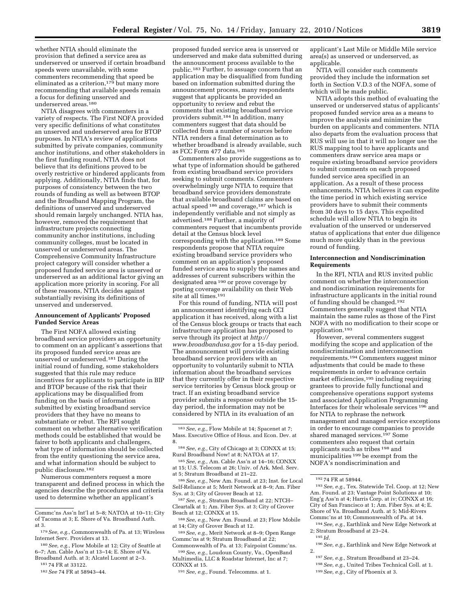whether NTIA should eliminate the provision that defined a service area as underserved or unserved if certain broadband speeds were unavailable, with some commenters recommending that speed be eliminated as a criterion,<sup>179</sup> but many more recommending that available speeds remain a focus for defining unserved and underserved areas.180

NTIA disagrees with commenters in a variety of respects. The First NOFA provided very specific definitions of what constitutes an unserved and underserved area for BTOP purposes. In NTIA's review of applications submitted by private companies, community anchor institutions, and other stakeholders in the first funding round, NTIA does not believe that its definitions proved to be overly restrictive or hindered applicants from applying. Additionally, NTIA finds that, for purposes of consistency between the two rounds of funding as well as between BTOP and the Broadband Mapping Program, the definitions of unserved and underserved should remain largely unchanged. NTIA has, however, removed the requirement that infrastructure projects connecting community anchor institutions, including community colleges, must be located in unserved or underserved areas. The Comprehensive Community Infrastructure project category will consider whether a proposed funded service area is unserved or underserved as an additional factor giving an application more priority in scoring. For all of these reasons, NTIA decides against substantially revising its definitions of unserved and underserved.

#### **Announcement of Applicants' Proposed Funded Service Areas**

The First NOFA allowed existing broadband service providers an opportunity to comment on an applicant's assertions that its proposed funded service areas are unserved or underserved.<sup>181</sup> During the initial round of funding, some stakeholders suggested that this rule may reduce incentives for applicants to participate in BIP and BTOP because of the risk that their applications may be disqualified from funding on the basis of information submitted by existing broadband service providers that they have no means to substantiate or rebut. The RFI sought comment on whether alternative verification methods could be established that would be fairer to both applicants and challengers, what type of information should be collected from the entity questioning the service area, and what information should be subject to public disclosure.182

Numerous commenters request a more transparent and defined process in which the agencies describe the procedures and criteria used to determine whether an applicant's

proposed funded service area is unserved or underserved and make data submitted during the announcement process available to the public.183 Further, to assuage concern that an application may be disqualified from funding based on information submitted during the announcement process, many respondents suggest that applicants be provided an opportunity to review and rebut the comments that existing broadband service providers submit.184 In addition, many commenters suggest that data should be collected from a number of sources before NTIA renders a final determination as to whether broadband is already available, such as FCC Form 477 data.185

Commenters also provide suggestions as to what type of information should be gathered from existing broadband service providers seeking to submit comments. Commenters overwhelmingly urge NTIA to require that broadband service providers demonstrate that available broadband claims are based on actual speed <sup>186</sup> and coverage,<sup>187</sup> which is independently verifiable and not simply as advertised.188 Further, a majority of commenters request that incumbents provide detail at the Census block level corresponding with the application.189 Some respondents propose that NTIA require existing broadband service providers who comment on an application's proposed funded service area to supply the names and addresses of current subscribers within the designated area 190 or prove coverage by posting coverage availability on their Web site at all times.191

For this round of funding, NTIA will post an announcement identifying each CCI application it has received, along with a list of the Census block groups or tracts that each infrastructure application has proposed to serve through its project at *http:// www.broadbandusa.gov* for a 15-day period. The announcement will provide existing broadband service providers with an opportunity to voluntarily submit to NTIA information about the broadband services that they currently offer in their respective service territories by Census block group or tract. If an existing broadband service provider submits a response outside the 15 day period, the information may not be considered by NTIA in its evaluation of an

185*See, e.g.,* Am. Cable Ass'n at 14–16; CONXX at 15; U.S. Telecom at 26; Univ. of Ark. Med. Serv. at 5; Stratum Broadband at 21–22.

186*See, e.g.,* New Am. Found. at 23; Inst. for Local Self-Reliance at 5; Merit Network at 8–9; Am. Fiber Sys. at 3; City of Grover Beach at 12.

187*See, e.g.,* Stratum Broadband at 22; NTCH– Cleartalk at 1; Am. Fiber Sys. at 3; City of Grover Beach at 12; CONXX at 15.

188*See, e.g.,* New Am. Found. at 23; Flow Mobile at 14; City of Grover Beach at 12.

189*See, e.g.,* Merit Network at 8–9; Open Range Commc'ns at 9; Stratum Broadband at 22; Commonwealth of Pa. at 13; Fairpoint Commc'ns.

CONXX at 15.

applicant's Last Mile or Middle Mile service area(s) as unserved or underserved, as applicable.

NTIA will consider such comments provided they include the information set forth in Section V.D.3 of the NOFA, some of which will be made public.

NTIA adopts this method of evaluating the unserved or underserved status of applicants' proposed funded service area as a means to improve the analysis and minimize the burden on applicants and commenters. NTIA also departs from the evaluation process that RUS will use in that it will no longer use the RUS mapping tool to have applicants and commenters draw service area maps or require existing broadband service providers to submit comments on each proposed funded service area specified in an application. As a result of these process enhancements, NTIA believes it can expedite the time period in which existing service providers have to submit their comments from 30 days to 15 days. This expedited schedule will allow NTIA to begin its evaluation of the unserved or underserved status of applications that enter due diligence much more quickly than in the previous round of funding.

#### **Interconnection and Nondiscrimination Requirements**

In the RFI, NTIA and RUS invited public comment on whether the interconnection and nondiscrimination requirements for infrastructure applicants in the initial round of funding should be changed.192 Commenters generally suggest that NTIA maintain the same rules as those of the First NOFA with no modification to their scope or application.193

However, several commenters suggest modifying the scope and application of the nondiscrimination and interconnection requirements.194 Commenters suggest minor adjustments that could be made to these requirements in order to advance certain market efficiencies,195 including requiring grantees to provide fully functional and comprehensive operations support systems and associated Application Programming Interfaces for their wholesale services 196 and for NTIA to rephrase the network management and managed service exceptions in order to encourage companies to provide shared managed services.197 Some commenters also request that certain applicants such as tribes 198 and municipalities 199 be exempt from the NOFA's nondiscrimination and

193*See, e.g.,* Tex. Statewide Tel. Coop. at 12; New Am. Found. at 23; Vantage Point Solutions at 10; Eng'g Ass'n at 4; Harris Corp. at iv; CONXX at 16; City of San Francisco at 1; Am. Fiber Sys. at 4; E. Shore of Va. Broadband Auth. at 5; Mid-Rivers Commc'ns at 10; Commonwealth of Pa. at 14.

194*See, e.g.,* Earthlink and New Edge Network at 2; Stratum Broadband at 23–24.

196*See, e.g.,* Earthlink and New Edge Network at 2.

197*See, e.g.,* Stratum Broadband at 23–24. 198*See, e.g.,* United Tribes Technical Coll. at 1.

199*See, e.g.,* City of Phoenix at 3.

Commc'ns Ass'n Int'l at 5–8; NATOA at 10–11; City of Tacoma at 3; E. Shore of Va. Broadband Auth. at 3.

<sup>179</sup>*See, e.g.*, Commonwealth of Pa. at 13; Wireless Internet Serv. Providers at 13.

<sup>180</sup>*See, e.g.*, Flow Mobile at 12; City of Seattle at 6–7; Am. Cable Ass'n at 13–14; E. Shore of Va. Broadband Auth. at 3; Alcatel Lucent at 2–3.

<sup>181</sup> 74 FR at 33122.

<sup>182</sup>*See* 74 FR at 58943–44.

<sup>183</sup>*See, e.g.,* Flow Mobile at 14; Spacenet at 7; Mass. Executive Office of Hous. and Econ. Dev. at 8.

<sup>184</sup>*See, e.g.,* City of Chicago at 3; CONXX at 15; Rural Broadband Now! at 8; NATOA at 17.

<sup>190</sup>*See, e.g.,* Loudoun County, Va., OpenBand Multimedia, LLC & Roadstar Internet, Inc at 7;

<sup>191</sup>*See, e.g.,* Found. Telecomms. at 1.

<sup>192</sup> 74 FR at 58944.

<sup>195</sup> *Id.*